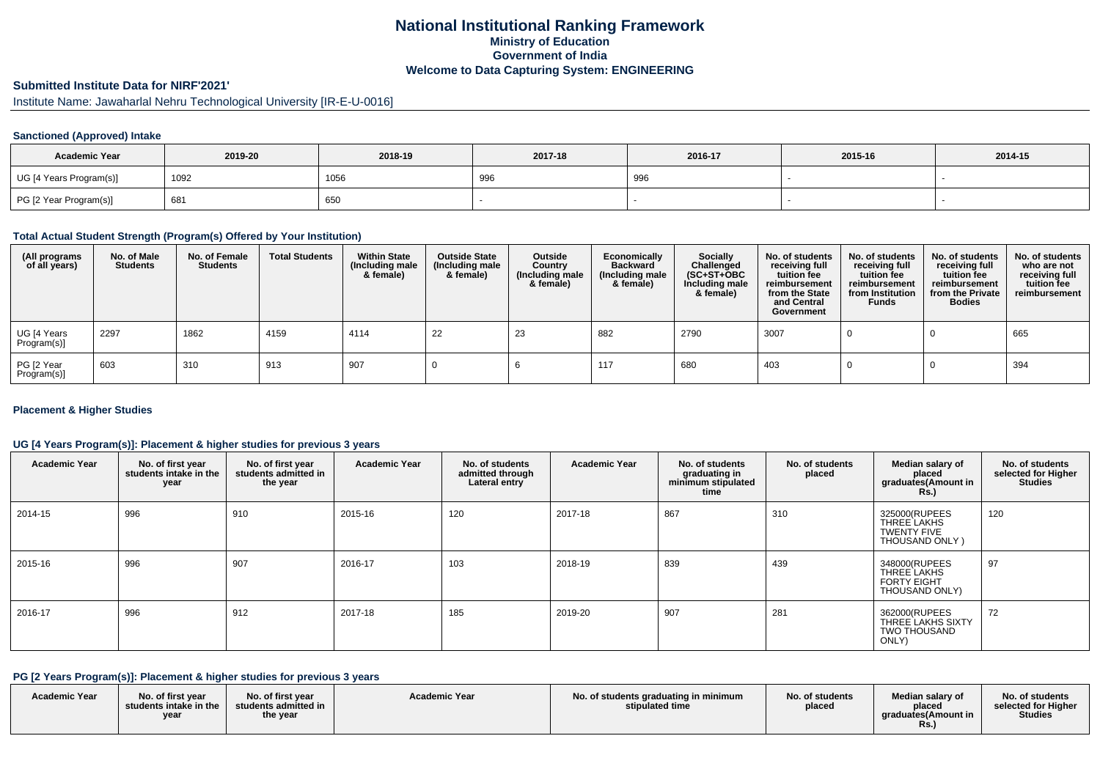## **National Institutional Ranking FrameworkMinistry of Education Government of IndiaWelcome to Data Capturing System: ENGINEERING**

# **Submitted Institute Data for NIRF'2021'**

Institute Name: Jawaharlal Nehru Technological University [IR-E-U-0016]

### **Sanctioned (Approved) Intake**

| <b>Academic Year</b>    | 2019-20 | 2018-19 | 2017-18       | 2016-17 | 2015-16 | 2014-15 |
|-------------------------|---------|---------|---------------|---------|---------|---------|
| UG [4 Years Program(s)] | 1092    | 1056    | $\sim$<br>996 | 996     |         |         |
| PG [2 Year Program(s)]  | 681     | 650     |               |         |         |         |

#### **Total Actual Student Strength (Program(s) Offered by Your Institution)**

| (All programs<br>of all years) | No. of Male<br><b>Students</b> | No. of Female<br>Students | <b>Total Students</b> | <b>Within State</b><br>(Including male<br>& female) | <b>Outside State</b><br>(Including male<br>& female) | Outside<br>Country<br>(Including male<br>& female) | Economically<br><b>Backward</b><br>(Including male<br>& female) | <b>Socially</b><br>Challenged<br>$(SC+ST+OBC)$<br>Including male<br>& female) | No. of students<br>receiving full<br>tuition fee<br>reimbursement<br>from the State<br>and Central<br>Government | No. of students<br>receiving full<br>tuition fee<br>reimbursement<br>from Institution<br><b>Funds</b> | No. of students<br>receiving full<br>tuition fee<br>reimbursement<br>from the Private<br><b>Bodies</b> | No. of students<br>who are not<br>receiving full<br>tuition fee<br>reimbursement |
|--------------------------------|--------------------------------|---------------------------|-----------------------|-----------------------------------------------------|------------------------------------------------------|----------------------------------------------------|-----------------------------------------------------------------|-------------------------------------------------------------------------------|------------------------------------------------------------------------------------------------------------------|-------------------------------------------------------------------------------------------------------|--------------------------------------------------------------------------------------------------------|----------------------------------------------------------------------------------|
| UG [4 Years<br>Program(s)]     | 2297                           | 1862                      | 4159                  | 4114                                                | -22                                                  | 23                                                 | 882                                                             | 2790                                                                          | 3007                                                                                                             |                                                                                                       |                                                                                                        | 665                                                                              |
| PG [2 Year<br>Program(s)]      | 603                            | 310                       | 913                   | 907                                                 |                                                      |                                                    | 117                                                             | 680                                                                           | 403                                                                                                              |                                                                                                       |                                                                                                        | 394                                                                              |

#### **Placement & Higher Studies**

### **UG [4 Years Program(s)]: Placement & higher studies for previous 3 years**

| <b>Academic Year</b> | No. of first year<br>students intake in the<br>year | No. of first year<br>students admitted in<br>the year | <b>Academic Year</b> | No. of students<br>admitted through<br>Lateral entry | <b>Academic Year</b> | No. of students<br>graduating in<br>minimum stipulated<br>time | No. of students<br>placed | Median salary of<br>placed<br>graduates(Amount in<br><b>Rs.)</b>     | No. of students<br>selected for Higher<br><b>Studies</b> |
|----------------------|-----------------------------------------------------|-------------------------------------------------------|----------------------|------------------------------------------------------|----------------------|----------------------------------------------------------------|---------------------------|----------------------------------------------------------------------|----------------------------------------------------------|
| 2014-15              | 996                                                 | 910                                                   | 2015-16              | 120                                                  | 2017-18              | 867                                                            | 310                       | 325000(RUPEES<br>THREE LAKHS<br><b>TWENTY FIVE</b><br>THOUSAND ONLY) | 120                                                      |
| 2015-16              | 996                                                 | 907                                                   | 2016-17              | 103                                                  | 2018-19              | 839                                                            | 439                       | 348000(RUPEES<br>THREE LAKHS<br><b>FORTY EIGHT</b><br>THOUSAND ONLY) | 97                                                       |
| 2016-17              | 996                                                 | 912                                                   | 2017-18              | 185                                                  | 2019-20              | 907                                                            | 281                       | 362000(RUPEES<br>THREE LAKHS SIXTY<br><b>TWO THOUSAND</b><br>ONLY)   | 72                                                       |

#### **PG [2 Years Program(s)]: Placement & higher studies for previous 3 years**

| <b>Academic Year</b> | No. of first vear<br>students intake in the I<br><b>yea</b> | No. of first year<br>students admitted in<br>the year | <b>Academic Year</b> | No. of students graduating in minimum<br>stipulated time | No. of students<br>placed | Median salary of<br>placed<br>araduates (Amount in<br>Rs. | No. of students<br>selected for Higher<br><b>Studies</b> |
|----------------------|-------------------------------------------------------------|-------------------------------------------------------|----------------------|----------------------------------------------------------|---------------------------|-----------------------------------------------------------|----------------------------------------------------------|
|----------------------|-------------------------------------------------------------|-------------------------------------------------------|----------------------|----------------------------------------------------------|---------------------------|-----------------------------------------------------------|----------------------------------------------------------|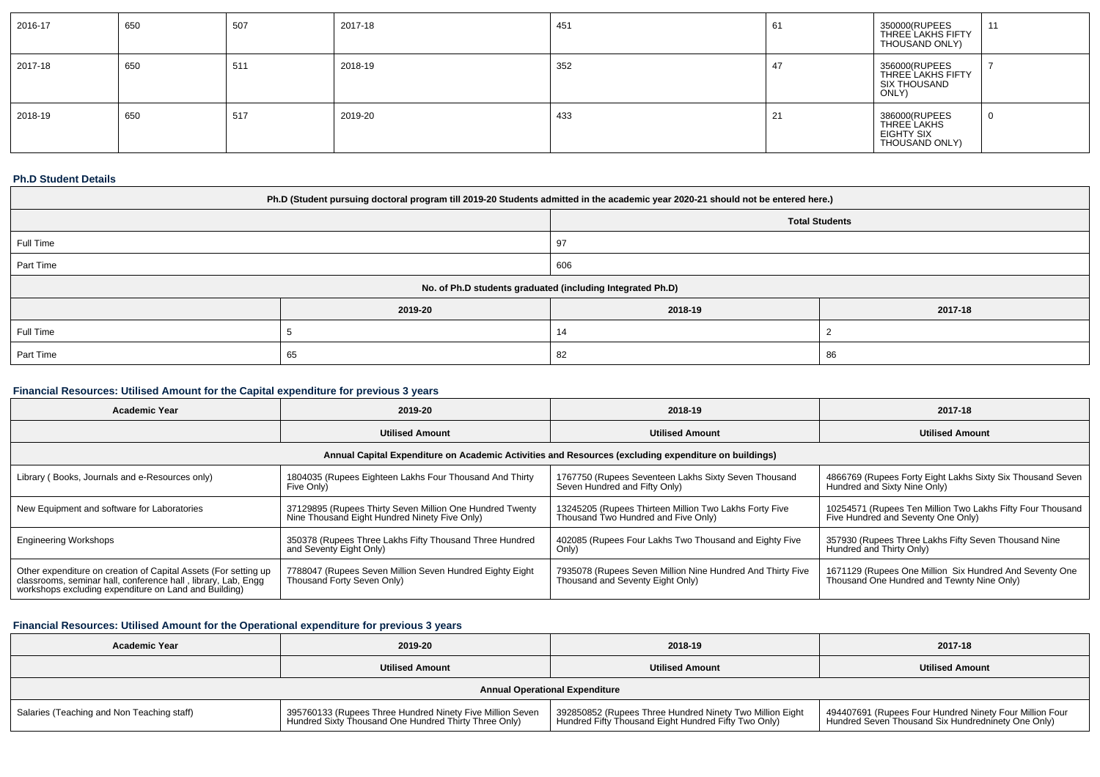| 2016-17 | 650 | 507 | 2017-18 | 451 | -61 | 350000(RUPEES<br>THREE LAKHS FIFTY<br>THOUSAND ONLY)         | 44<br>. . |
|---------|-----|-----|---------|-----|-----|--------------------------------------------------------------|-----------|
| 2017-18 | 650 | 511 | 2018-19 | 352 |     | 356000(RUPEES<br>THREE LAKHS FIFTY<br>SIX THOUSAND<br>ONLY)  |           |
| 2018-19 | 650 | 517 | 2019-20 | 433 |     | 386000(RUPEES<br>THREE LAKHS<br>EIGHTY SIX<br>THOUSAND ONLY) |           |

### **Ph.D Student Details**

| Ph.D (Student pursuing doctoral program till 2019-20 Students admitted in the academic year 2020-21 should not be entered here.) |         |                                                            |         |  |  |  |
|----------------------------------------------------------------------------------------------------------------------------------|---------|------------------------------------------------------------|---------|--|--|--|
| <b>Total Students</b>                                                                                                            |         |                                                            |         |  |  |  |
| Full Time<br>97                                                                                                                  |         |                                                            |         |  |  |  |
| Part Time                                                                                                                        | 606     |                                                            |         |  |  |  |
|                                                                                                                                  |         | No. of Ph.D students graduated (including Integrated Ph.D) |         |  |  |  |
|                                                                                                                                  | 2019-20 | 2018-19                                                    | 2017-18 |  |  |  |
| Full Time                                                                                                                        |         | 14                                                         |         |  |  |  |
| Part Time<br>65<br>82<br>86                                                                                                      |         |                                                            |         |  |  |  |

### **Financial Resources: Utilised Amount for the Capital expenditure for previous 3 years**

| <b>Academic Year</b>                                                                                                                                                                      | 2019-20                                                                                                   | 2018-19                                                                                              | 2017-18                                                                                               |
|-------------------------------------------------------------------------------------------------------------------------------------------------------------------------------------------|-----------------------------------------------------------------------------------------------------------|------------------------------------------------------------------------------------------------------|-------------------------------------------------------------------------------------------------------|
|                                                                                                                                                                                           | <b>Utilised Amount</b>                                                                                    | <b>Utilised Amount</b>                                                                               | <b>Utilised Amount</b>                                                                                |
|                                                                                                                                                                                           |                                                                                                           | Annual Capital Expenditure on Academic Activities and Resources (excluding expenditure on buildings) |                                                                                                       |
| Library (Books, Journals and e-Resources only)                                                                                                                                            | 1804035 (Rupees Eighteen Lakhs Four Thousand And Thirty<br>Five Only)                                     | 1767750 (Rupees Seventeen Lakhs Sixty Seven Thousand<br>Seven Hundred and Fifty Only)                | 4866769 (Rupees Forty Eight Lakhs Sixty Six Thousand Seven<br>Hundred and Sixty Nine Only)            |
| New Equipment and software for Laboratories                                                                                                                                               | 37129895 (Rupees Thirty Seven Million One Hundred Twenty<br>Nine Thousand Eight Hundred Ninety Five Only) | 13245205 (Rupees Thirteen Million Two Lakhs Forty Five<br>Thousand Two Hundred and Five Only         | 10254571 (Rupees Ten Million Two Lakhs Fifty Four Thousand<br>Five Hundred and Seventy One Only)      |
| <b>Engineering Workshops</b>                                                                                                                                                              | 350378 (Rupees Three Lakhs Fifty Thousand Three Hundred<br>and Seventy Eight Only)                        | 402085 (Rupees Four Lakhs Two Thousand and Eighty Five<br>Only)                                      | 357930 (Rupees Three Lakhs Fifty Seven Thousand Nine<br>Hundred and Thirty Only)                      |
| Other expenditure on creation of Capital Assets (For setting up<br>classrooms, seminar hall, conference hall, library, Lab, Engg<br>workshops excluding expenditure on Land and Building) | 7788047 (Rupees Seven Million Seven Hundred Eighty Eight<br>Thousand Forty Seven Only)                    | 7935078 (Rupees Seven Million Nine Hundred And Thirty Five<br>Thousand and Seventy Eight Only)       | 1671129 (Rupees One Million Six Hundred And Seventy One<br>Thousand One Hundred and Tewnty Nine Only) |

## **Financial Resources: Utilised Amount for the Operational expenditure for previous 3 years**

| Academic Year                              | 2019-20                                                                                                            | 2018-19                                                                                                          | 2017-18                                                                                                       |
|--------------------------------------------|--------------------------------------------------------------------------------------------------------------------|------------------------------------------------------------------------------------------------------------------|---------------------------------------------------------------------------------------------------------------|
|                                            | <b>Utilised Amount</b>                                                                                             | <b>Utilised Amount</b>                                                                                           | <b>Utilised Amount</b>                                                                                        |
|                                            |                                                                                                                    | <b>Annual Operational Expenditure</b>                                                                            |                                                                                                               |
| Salaries (Teaching and Non Teaching staff) | 395760133 (Rupees Three Hundred Ninety Five Million Seven<br>Hundred Sixty Thousand One Hundred Thirty Three Only) | 392850852 (Rupees Three Hundred Ninety Two Million Eight<br>Hundred Fifty Thousand Eight Hundred Fifty Two Only) | 494407691 (Rupees Four Hundred Ninety Four Million Four<br>Hundred Seven Thousand Six Hundredninety One Only) |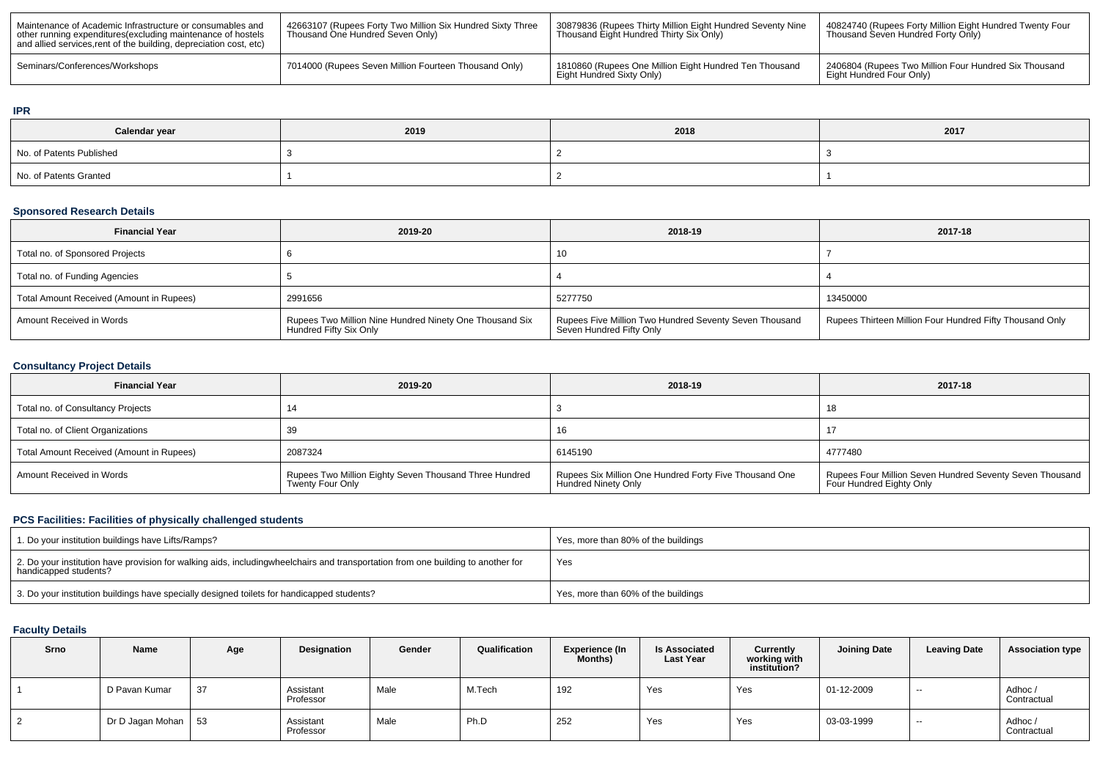| Maintenance of Academic Infrastructure or consumables and<br>other running expenditures (excluding maintenance of hostels<br>and allied services, rent of the building, depreciation cost, etc) | 42663107 (Rupees Forty Two Million Six Hundred Sixty Three<br>Thousand One Hundred Seven Only) | 30879836 (Rupees Thirty Million Eight Hundred Seventy Nine<br>Thousand Eight Hundred Thirty Six Only) | 40824740 (Rupees Forty Million Eight Hundred Twenty Four<br>Thousand Seven Hundred Forty Only) |
|-------------------------------------------------------------------------------------------------------------------------------------------------------------------------------------------------|------------------------------------------------------------------------------------------------|-------------------------------------------------------------------------------------------------------|------------------------------------------------------------------------------------------------|
| Seminars/Conferences/Workshops                                                                                                                                                                  | 7014000 (Rupees Seven Million Fourteen Thousand Only)                                          | 1810860 (Rupees One Million Eight Hundred Ten Thousand<br>l Eight Hundred Sixty Only)                 | 2406804 (Rupees Two Million Four Hundred Six Thousand<br>Eight Hundred Four Only)              |

#### **IPR**

| Calendar year            | 2019 | 2018 | 2017 |
|--------------------------|------|------|------|
| No. of Patents Published |      |      |      |
| No. of Patents Granted   |      |      |      |

#### **Sponsored Research Details**

| <b>Financial Year</b>                    | 2019-20                                                                           | 2018-19                                                                            | 2017-18                                                  |
|------------------------------------------|-----------------------------------------------------------------------------------|------------------------------------------------------------------------------------|----------------------------------------------------------|
| Total no. of Sponsored Projects          |                                                                                   | 10                                                                                 |                                                          |
| Total no. of Funding Agencies            |                                                                                   |                                                                                    |                                                          |
| Total Amount Received (Amount in Rupees) | 2991656                                                                           | 5277750                                                                            | 13450000                                                 |
| Amount Received in Words                 | Rupees Two Million Nine Hundred Ninety One Thousand Six<br>Hundred Fifty Six Only | Rupees Five Million Two Hundred Seventy Seven Thousand<br>Seven Hundred Fifty Only | Rupees Thirteen Million Four Hundred Fifty Thousand Only |

### **Consultancy Project Details**

| <b>Financial Year</b>                    | 2019-20                                                                    | 2018-19                                                                              | 2017-18                                                                              |
|------------------------------------------|----------------------------------------------------------------------------|--------------------------------------------------------------------------------------|--------------------------------------------------------------------------------------|
| Total no. of Consultancy Projects        |                                                                            |                                                                                      | 18                                                                                   |
| Total no. of Client Organizations        |                                                                            | 16                                                                                   |                                                                                      |
| Total Amount Received (Amount in Rupees) | 2087324                                                                    | 6145190                                                                              | 4777480                                                                              |
| Amount Received in Words                 | Rupees Two Million Eighty Seven Thousand Three Hundred<br>Twenty Four Only | Rupees Six Million One Hundred Forty Five Thousand One<br><b>Hundred Ninety Only</b> | Rupees Four Million Seven Hundred Seventy Seven Thousand<br>Four Hundred Eighty Only |

### **PCS Facilities: Facilities of physically challenged students**

| 1. Do your institution buildings have Lifts/Ramps?                                                                                                        | Yes, more than 80% of the buildings |
|-----------------------------------------------------------------------------------------------------------------------------------------------------------|-------------------------------------|
| 2. Do your institution have provision for walking aids, includingwheelchairs and transportation from one building to another for<br>handicapped students? | Yes                                 |
| 3. Do your institution buildings have specially designed toilets for handicapped students?                                                                | Yes, more than 60% of the buildings |

### **Faculty Details**

| Srno | Name             | Age | Designation            | Gender | Qualification | <b>Experience (In</b><br>Months) | <b>Is Associated</b><br><b>Last Year</b> | <b>Currently</b><br>working with<br>institution? | <b>Joining Date</b> | <b>Leaving Date</b> | <b>Association type</b> |
|------|------------------|-----|------------------------|--------|---------------|----------------------------------|------------------------------------------|--------------------------------------------------|---------------------|---------------------|-------------------------|
|      | D Pavan Kumar    | 37  | Assistant<br>Professor | Male   | M.Tech        | 192                              | Yes                                      | Yes                                              | 01-12-2009          | $- -$               | Adhoc/<br>Contractual   |
|      | Dr D Jagan Mohan | 53  | Assistant<br>Professor | Male   | Ph.D          | 252                              | Yes                                      | Yes                                              | 03-03-1999          | $\sim$              | Adhoc/<br>Contractual   |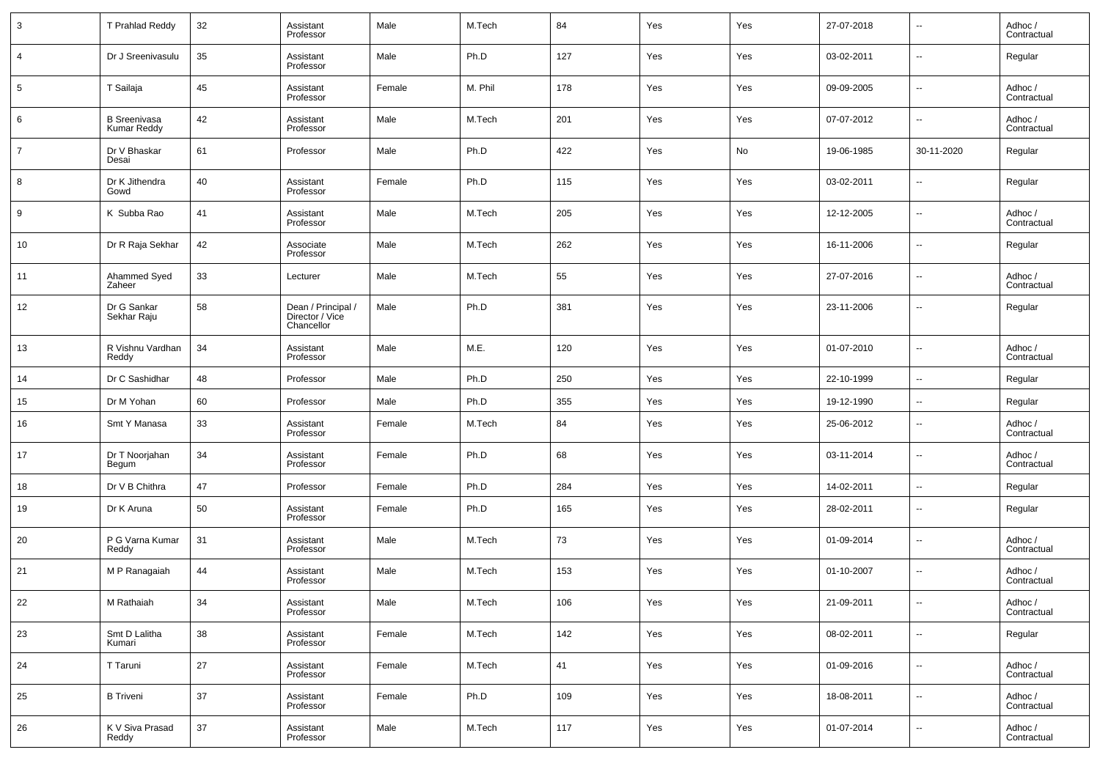| 3  | T Prahlad Reddy                           | 32 | Assistant<br>Professor                              | Male   | M.Tech  | 84  | Yes | Yes | 27-07-2018 | $\overline{\phantom{a}}$ | Adhoc /<br>Contractual |
|----|-------------------------------------------|----|-----------------------------------------------------|--------|---------|-----|-----|-----|------------|--------------------------|------------------------|
| 4  | Dr J Sreenivasulu                         | 35 | Assistant<br>Professor                              | Male   | Ph.D    | 127 | Yes | Yes | 03-02-2011 | $\overline{\phantom{a}}$ | Regular                |
| 5  | T Sailaja                                 | 45 | Assistant<br>Professor                              | Female | M. Phil | 178 | Yes | Yes | 09-09-2005 | $\overline{\phantom{a}}$ | Adhoc /<br>Contractual |
| 6  | <b>B</b> Sreenivasa<br><b>Kumar Reddy</b> | 42 | Assistant<br>Professor                              | Male   | M.Tech  | 201 | Yes | Yes | 07-07-2012 | $\overline{\phantom{a}}$ | Adhoc /<br>Contractual |
| 7  | Dr V Bhaskar<br>Desai                     | 61 | Professor                                           | Male   | Ph.D    | 422 | Yes | No  | 19-06-1985 | 30-11-2020               | Regular                |
| 8  | Dr K Jithendra<br>Gowd                    | 40 | Assistant<br>Professor                              | Female | Ph.D    | 115 | Yes | Yes | 03-02-2011 | $\overline{\phantom{a}}$ | Regular                |
| 9  | K Subba Rao                               | 41 | Assistant<br>Professor                              | Male   | M.Tech  | 205 | Yes | Yes | 12-12-2005 | $\overline{\phantom{a}}$ | Adhoc /<br>Contractual |
| 10 | Dr R Raja Sekhar                          | 42 | Associate<br>Professor                              | Male   | M.Tech  | 262 | Yes | Yes | 16-11-2006 | $\overline{\phantom{a}}$ | Regular                |
| 11 | Ahammed Syed<br>Zaheer                    | 33 | Lecturer                                            | Male   | M.Tech  | 55  | Yes | Yes | 27-07-2016 | $\overline{\phantom{a}}$ | Adhoc /<br>Contractual |
| 12 | Dr G Sankar<br>Sekhar Raju                | 58 | Dean / Principal /<br>Director / Vice<br>Chancellor | Male   | Ph.D    | 381 | Yes | Yes | 23-11-2006 | $\overline{\phantom{a}}$ | Regular                |
| 13 | R Vishnu Vardhan<br>Reddy                 | 34 | Assistant<br>Professor                              | Male   | M.E.    | 120 | Yes | Yes | 01-07-2010 | $\sim$                   | Adhoc /<br>Contractual |
| 14 | Dr C Sashidhar                            | 48 | Professor                                           | Male   | Ph.D    | 250 | Yes | Yes | 22-10-1999 | $\sim$                   | Regular                |
| 15 | Dr M Yohan                                | 60 | Professor                                           | Male   | Ph.D    | 355 | Yes | Yes | 19-12-1990 | $\overline{\phantom{a}}$ | Regular                |
| 16 | Smt Y Manasa                              | 33 | Assistant<br>Professor                              | Female | M.Tech  | 84  | Yes | Yes | 25-06-2012 | $\overline{\phantom{a}}$ | Adhoc /<br>Contractual |
| 17 | Dr T Noorjahan<br>Begum                   | 34 | Assistant<br>Professor                              | Female | Ph.D    | 68  | Yes | Yes | 03-11-2014 | $\overline{\phantom{a}}$ | Adhoc /<br>Contractual |
| 18 | Dr V B Chithra                            | 47 | Professor                                           | Female | Ph.D    | 284 | Yes | Yes | 14-02-2011 | $\overline{\phantom{a}}$ | Regular                |
| 19 | Dr K Aruna                                | 50 | Assistant<br>Professor                              | Female | Ph.D    | 165 | Yes | Yes | 28-02-2011 | $\overline{\phantom{a}}$ | Regular                |
| 20 | P G Varna Kumar<br>Reddy                  | 31 | Assistant<br>Professor                              | Male   | M.Tech  | 73  | Yes | Yes | 01-09-2014 | $\overline{\phantom{a}}$ | Adhoc /<br>Contractual |
| 21 | M P Ranagaiah                             | 44 | Assistant<br>Professor                              | Male   | M.Tech  | 153 | Yes | Yes | 01-10-2007 | $\sim$                   | Adhoc /<br>Contractual |
| 22 | M Rathaiah                                | 34 | Assistant<br>Professor                              | Male   | M.Tech  | 106 | Yes | Yes | 21-09-2011 | $\overline{\phantom{a}}$ | Adhoc /<br>Contractual |
| 23 | Smt D Lalitha<br>Kumari                   | 38 | Assistant<br>Professor                              | Female | M.Tech  | 142 | Yes | Yes | 08-02-2011 | $\overline{\phantom{a}}$ | Regular                |
| 24 | T Taruni                                  | 27 | Assistant<br>Professor                              | Female | M.Tech  | 41  | Yes | Yes | 01-09-2016 | $\overline{\phantom{a}}$ | Adhoc /<br>Contractual |
| 25 | <b>B</b> Triveni                          | 37 | Assistant<br>Professor                              | Female | Ph.D    | 109 | Yes | Yes | 18-08-2011 | $\sim$                   | Adhoc /<br>Contractual |
| 26 | K V Siva Prasad<br>Reddy                  | 37 | Assistant<br>Professor                              | Male   | M.Tech  | 117 | Yes | Yes | 01-07-2014 | $\overline{\phantom{a}}$ | Adhoc /<br>Contractual |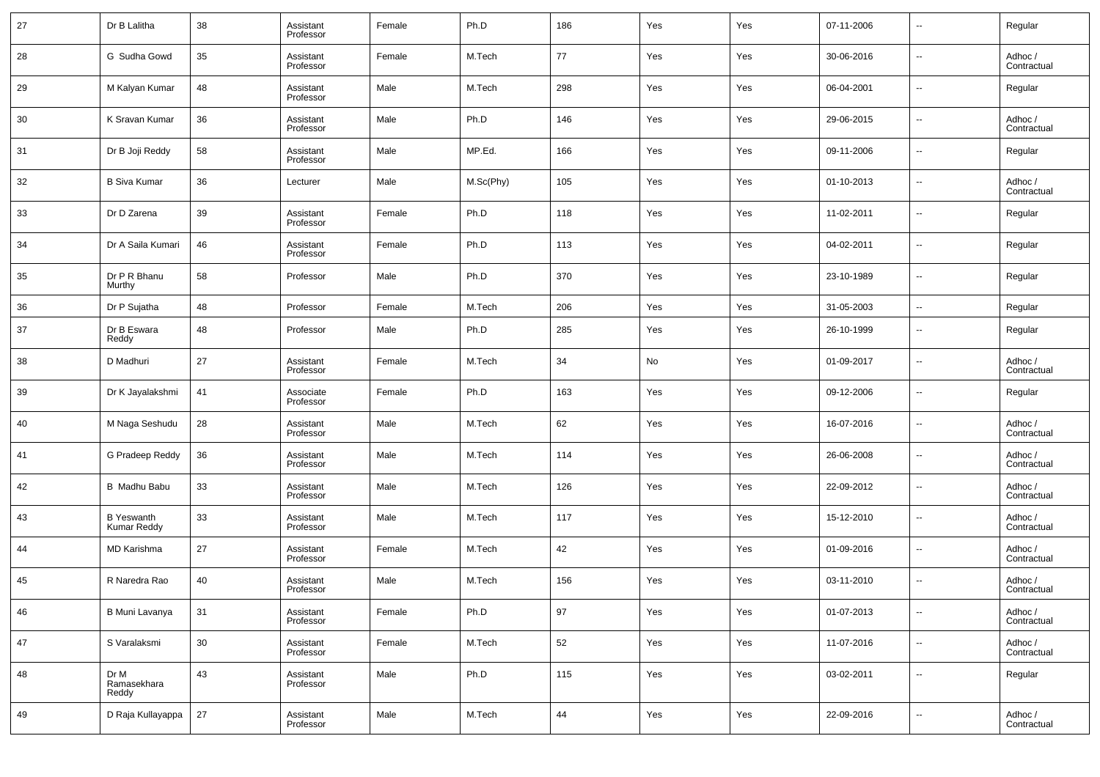| 27 | Dr B Lalitha                            | 38     | Assistant<br>Professor | Female | Ph.D      | 186 | Yes | Yes | 07-11-2006 | $\overline{\phantom{a}}$ | Regular                |
|----|-----------------------------------------|--------|------------------------|--------|-----------|-----|-----|-----|------------|--------------------------|------------------------|
| 28 | G Sudha Gowd                            | 35     | Assistant<br>Professor | Female | M.Tech    | 77  | Yes | Yes | 30-06-2016 | $\overline{\phantom{a}}$ | Adhoc /<br>Contractual |
| 29 | M Kalyan Kumar                          | 48     | Assistant<br>Professor | Male   | M.Tech    | 298 | Yes | Yes | 06-04-2001 | $\overline{\phantom{a}}$ | Regular                |
| 30 | K Sravan Kumar                          | 36     | Assistant<br>Professor | Male   | Ph.D      | 146 | Yes | Yes | 29-06-2015 | $\overline{\phantom{a}}$ | Adhoc /<br>Contractual |
| 31 | Dr B Joji Reddy                         | 58     | Assistant<br>Professor | Male   | MP.Ed.    | 166 | Yes | Yes | 09-11-2006 | $\overline{\phantom{a}}$ | Regular                |
| 32 | <b>B Siva Kumar</b>                     | 36     | Lecturer               | Male   | M.Sc(Phy) | 105 | Yes | Yes | 01-10-2013 | $\overline{\phantom{a}}$ | Adhoc /<br>Contractual |
| 33 | Dr D Zarena                             | 39     | Assistant<br>Professor | Female | Ph.D      | 118 | Yes | Yes | 11-02-2011 | $\overline{\phantom{a}}$ | Regular                |
| 34 | Dr A Saila Kumari                       | 46     | Assistant<br>Professor | Female | Ph.D      | 113 | Yes | Yes | 04-02-2011 | $\overline{\phantom{a}}$ | Regular                |
| 35 | Dr P R Bhanu<br>Murthy                  | 58     | Professor              | Male   | Ph.D      | 370 | Yes | Yes | 23-10-1989 | $\overline{\phantom{a}}$ | Regular                |
| 36 | Dr P Sujatha                            | 48     | Professor              | Female | M.Tech    | 206 | Yes | Yes | 31-05-2003 | $\sim$                   | Regular                |
| 37 | Dr B Eswara<br>Reddy                    | 48     | Professor              | Male   | Ph.D      | 285 | Yes | Yes | 26-10-1999 | $\overline{\phantom{a}}$ | Regular                |
| 38 | D Madhuri                               | 27     | Assistant<br>Professor | Female | M.Tech    | 34  | No  | Yes | 01-09-2017 | $\overline{\phantom{a}}$ | Adhoc /<br>Contractual |
| 39 | Dr K Jayalakshmi                        | 41     | Associate<br>Professor | Female | Ph.D      | 163 | Yes | Yes | 09-12-2006 | $\overline{\phantom{a}}$ | Regular                |
| 40 | M Naga Seshudu                          | 28     | Assistant<br>Professor | Male   | M.Tech    | 62  | Yes | Yes | 16-07-2016 | $\overline{\phantom{a}}$ | Adhoc /<br>Contractual |
| 41 | G Pradeep Reddy                         | 36     | Assistant<br>Professor | Male   | M.Tech    | 114 | Yes | Yes | 26-06-2008 | $\overline{\phantom{a}}$ | Adhoc /<br>Contractual |
| 42 | <b>B</b> Madhu Babu                     | 33     | Assistant<br>Professor | Male   | M.Tech    | 126 | Yes | Yes | 22-09-2012 | $\overline{\phantom{a}}$ | Adhoc /<br>Contractual |
| 43 | <b>B</b> Yeswanth<br><b>Kumar Reddy</b> | 33     | Assistant<br>Professor | Male   | M.Tech    | 117 | Yes | Yes | 15-12-2010 | $\overline{\phantom{a}}$ | Adhoc /<br>Contractual |
| 44 | <b>MD Karishma</b>                      | 27     | Assistant<br>Professor | Female | M.Tech    | 42  | Yes | Yes | 01-09-2016 | $\overline{\phantom{a}}$ | Adhoc /<br>Contractual |
| 45 | R Naredra Rao                           | 40     | Assistant<br>Professor | Male   | M.Tech    | 156 | Yes | Yes | 03-11-2010 | $\overline{\phantom{a}}$ | Adhoc /<br>Contractual |
| 46 | <b>B Muni Lavanya</b>                   | 31     | Assistant<br>Professor | Female | Ph.D      | 97  | Yes | Yes | 01-07-2013 | $\overline{\phantom{a}}$ | Adhoc /<br>Contractual |
| 47 | S Varalaksmi                            | $30\,$ | Assistant<br>Professor | Female | M.Tech    | 52  | Yes | Yes | 11-07-2016 | $\overline{\phantom{a}}$ | Adhoc /<br>Contractual |
| 48 | Dr M<br>Ramasekhara<br>Reddy            | 43     | Assistant<br>Professor | Male   | Ph.D      | 115 | Yes | Yes | 03-02-2011 | $\overline{\phantom{a}}$ | Regular                |
| 49 | D Raja Kullayappa                       | 27     | Assistant<br>Professor | Male   | M.Tech    | 44  | Yes | Yes | 22-09-2016 | $\overline{\phantom{a}}$ | Adhoc /<br>Contractual |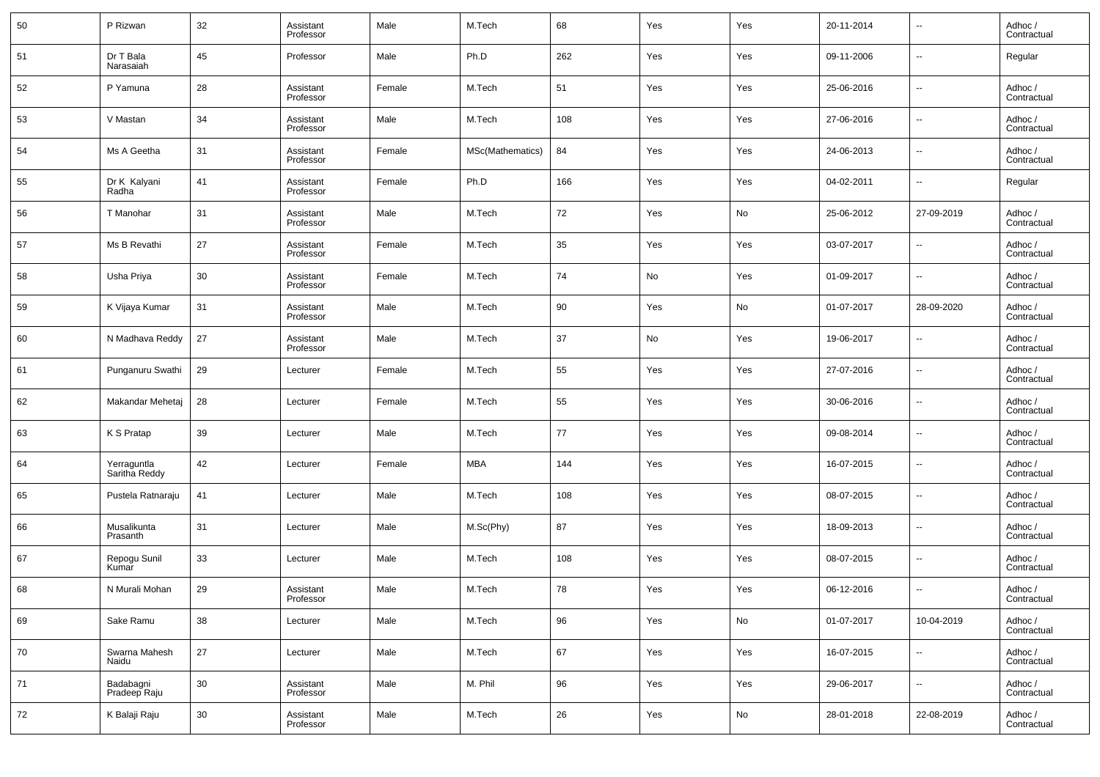| 50 | P Rizwan                     | 32 | Assistant<br>Professor | Male   | M.Tech           | 68  | Yes | Yes | 20-11-2014 | $\overline{\phantom{a}}$ | Adhoc /<br>Contractual |
|----|------------------------------|----|------------------------|--------|------------------|-----|-----|-----|------------|--------------------------|------------------------|
| 51 | Dr T Bala<br>Narasaiah       | 45 | Professor              | Male   | Ph.D             | 262 | Yes | Yes | 09-11-2006 | $\overline{\phantom{a}}$ | Regular                |
| 52 | P Yamuna                     | 28 | Assistant<br>Professor | Female | M.Tech           | 51  | Yes | Yes | 25-06-2016 | $\overline{\phantom{a}}$ | Adhoc /<br>Contractual |
| 53 | V Mastan                     | 34 | Assistant<br>Professor | Male   | M.Tech           | 108 | Yes | Yes | 27-06-2016 | $\overline{\phantom{a}}$ | Adhoc /<br>Contractual |
| 54 | Ms A Geetha                  | 31 | Assistant<br>Professor | Female | MSc(Mathematics) | 84  | Yes | Yes | 24-06-2013 | $\overline{\phantom{a}}$ | Adhoc /<br>Contractual |
| 55 | Dr K Kalyani<br>Radha        | 41 | Assistant<br>Professor | Female | Ph.D             | 166 | Yes | Yes | 04-02-2011 | $\overline{\phantom{a}}$ | Regular                |
| 56 | T Manohar                    | 31 | Assistant<br>Professor | Male   | M.Tech           | 72  | Yes | No  | 25-06-2012 | 27-09-2019               | Adhoc /<br>Contractual |
| 57 | Ms B Revathi                 | 27 | Assistant<br>Professor | Female | M.Tech           | 35  | Yes | Yes | 03-07-2017 | $\overline{\phantom{a}}$ | Adhoc /<br>Contractual |
| 58 | Usha Priya                   | 30 | Assistant<br>Professor | Female | M.Tech           | 74  | No  | Yes | 01-09-2017 | $\overline{\phantom{a}}$ | Adhoc /<br>Contractual |
| 59 | K Vijaya Kumar               | 31 | Assistant<br>Professor | Male   | M.Tech           | 90  | Yes | No  | 01-07-2017 | 28-09-2020               | Adhoc /<br>Contractual |
| 60 | N Madhava Reddy              | 27 | Assistant<br>Professor | Male   | M.Tech           | 37  | No  | Yes | 19-06-2017 | $\overline{\phantom{a}}$ | Adhoc /<br>Contractual |
| 61 | Punganuru Swathi             | 29 | Lecturer               | Female | M.Tech           | 55  | Yes | Yes | 27-07-2016 | $\overline{\phantom{a}}$ | Adhoc /<br>Contractual |
| 62 | Makandar Mehetaj             | 28 | Lecturer               | Female | M.Tech           | 55  | Yes | Yes | 30-06-2016 | $\overline{\phantom{a}}$ | Adhoc /<br>Contractual |
| 63 | K S Pratap                   | 39 | Lecturer               | Male   | M.Tech           | 77  | Yes | Yes | 09-08-2014 | $\overline{\phantom{a}}$ | Adhoc /<br>Contractual |
| 64 | Yerraguntla<br>Saritha Reddy | 42 | Lecturer               | Female | <b>MBA</b>       | 144 | Yes | Yes | 16-07-2015 | $\overline{\phantom{a}}$ | Adhoc /<br>Contractual |
| 65 | Pustela Ratnaraju            | 41 | Lecturer               | Male   | M.Tech           | 108 | Yes | Yes | 08-07-2015 | $\overline{\phantom{a}}$ | Adhoc /<br>Contractual |
| 66 | Musalikunta<br>Prasanth      | 31 | Lecturer               | Male   | M.Sc(Phy)        | 87  | Yes | Yes | 18-09-2013 | $\overline{\phantom{a}}$ | Adhoc /<br>Contractual |
| 67 | Repogu Sunil<br>Kumar        | 33 | Lecturer               | Male   | M.Tech           | 108 | Yes | Yes | 08-07-2015 | $\overline{\phantom{a}}$ | Adhoc /<br>Contractual |
| 68 | N Murali Mohan               | 29 | Assistant<br>Professor | Male   | M.Tech           | 78  | Yes | Yes | 06-12-2016 | $\overline{\phantom{a}}$ | Adhoc /<br>Contractual |
| 69 | Sake Ramu                    | 38 | Lecturer               | Male   | M.Tech           | 96  | Yes | No  | 01-07-2017 | 10-04-2019               | Adhoc /<br>Contractual |
| 70 | Swarna Mahesh<br>Naidu       | 27 | Lecturer               | Male   | M.Tech           | 67  | Yes | Yes | 16-07-2015 | $\overline{\phantom{a}}$ | Adhoc /<br>Contractual |
| 71 | Badabagni<br>Pradeep Raju    | 30 | Assistant<br>Professor | Male   | M. Phil          | 96  | Yes | Yes | 29-06-2017 | $\overline{\phantom{a}}$ | Adhoc /<br>Contractual |
| 72 | K Balaji Raju                | 30 | Assistant<br>Professor | Male   | M.Tech           | 26  | Yes | No  | 28-01-2018 | 22-08-2019               | Adhoc /<br>Contractual |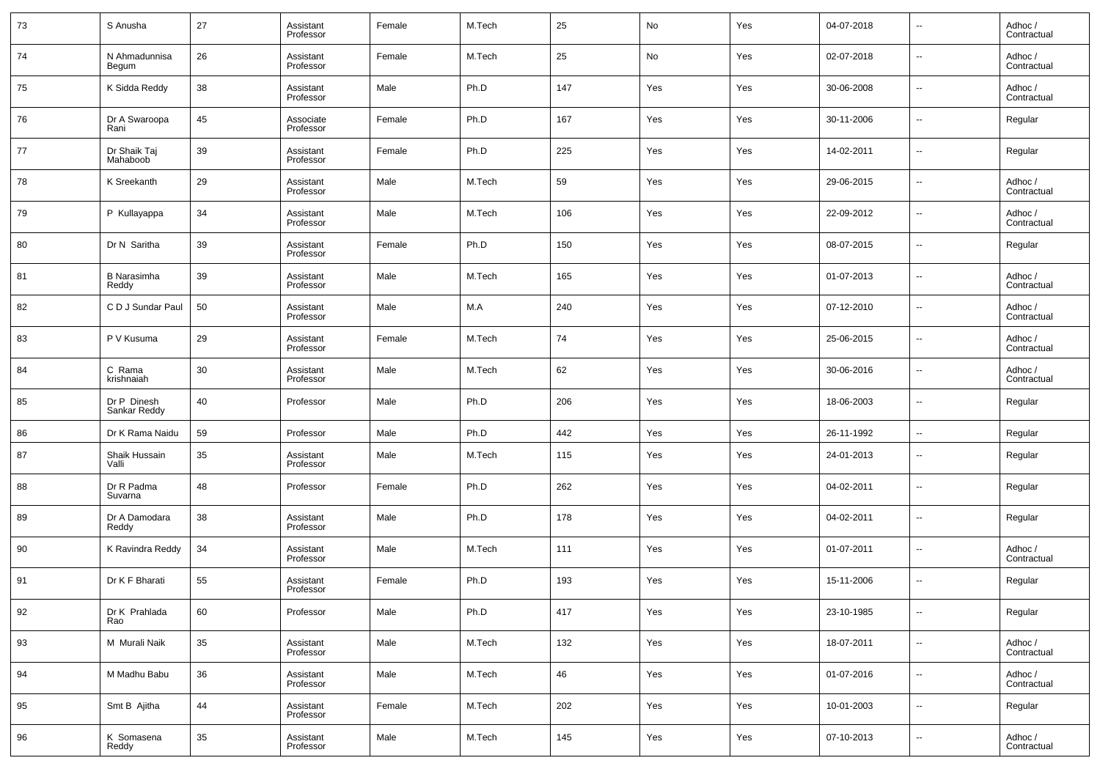| 73 | S Anusha                    | 27 | Assistant<br>Professor | Female | M.Tech | 25  | No  | Yes | 04-07-2018 | --     | Adhoc/<br>Contractual  |
|----|-----------------------------|----|------------------------|--------|--------|-----|-----|-----|------------|--------|------------------------|
| 74 | N Ahmadunnisa<br>Begum      | 26 | Assistant<br>Professor | Female | M.Tech | 25  | No  | Yes | 02-07-2018 | --     | Adhoc /<br>Contractual |
| 75 | K Sidda Reddy               | 38 | Assistant<br>Professor | Male   | Ph.D   | 147 | Yes | Yes | 30-06-2008 | ш.     | Adhoc /<br>Contractual |
| 76 | Dr A Swaroopa<br>Rani       | 45 | Associate<br>Professor | Female | Ph.D   | 167 | Yes | Yes | 30-11-2006 | --     | Regular                |
| 77 | Dr Shaik Taj<br>Mahaboob    | 39 | Assistant<br>Professor | Female | Ph.D   | 225 | Yes | Yes | 14-02-2011 | ш.     | Regular                |
| 78 | K Sreekanth                 | 29 | Assistant<br>Professor | Male   | M.Tech | 59  | Yes | Yes | 29-06-2015 | --     | Adhoc /<br>Contractual |
| 79 | P Kullayappa                | 34 | Assistant<br>Professor | Male   | M.Tech | 106 | Yes | Yes | 22-09-2012 | ш.     | Adhoc /<br>Contractual |
| 80 | Dr N Saritha                | 39 | Assistant<br>Professor | Female | Ph.D   | 150 | Yes | Yes | 08-07-2015 | --     | Regular                |
| 81 | <b>B</b> Narasimha<br>Reddy | 39 | Assistant<br>Professor | Male   | M.Tech | 165 | Yes | Yes | 01-07-2013 | ш.     | Adhoc /<br>Contractual |
| 82 | C D J Sundar Paul           | 50 | Assistant<br>Professor | Male   | M.A    | 240 | Yes | Yes | 07-12-2010 | --     | Adhoc /<br>Contractual |
| 83 | P V Kusuma                  | 29 | Assistant<br>Professor | Female | M.Tech | 74  | Yes | Yes | 25-06-2015 | ш.     | Adhoc /<br>Contractual |
| 84 | C Rama<br>krishnaiah        | 30 | Assistant<br>Professor | Male   | M.Tech | 62  | Yes | Yes | 30-06-2016 | --     | Adhoc /<br>Contractual |
| 85 | Dr P Dinesh<br>Sankar Reddy | 40 | Professor              | Male   | Ph.D   | 206 | Yes | Yes | 18-06-2003 | ш.     | Regular                |
| 86 | Dr K Rama Naidu             | 59 | Professor              | Male   | Ph.D   | 442 | Yes | Yes | 26-11-1992 | --     | Regular                |
| 87 | Shaik Hussain<br>Valli      | 35 | Assistant<br>Professor | Male   | M.Tech | 115 | Yes | Yes | 24-01-2013 | --     | Regular                |
| 88 | Dr R Padma<br>Suvarna       | 48 | Professor              | Female | Ph.D   | 262 | Yes | Yes | 04-02-2011 | н.     | Regular                |
| 89 | Dr A Damodara<br>Reddy      | 38 | Assistant<br>Professor | Male   | Ph.D   | 178 | Yes | Yes | 04-02-2011 | $\sim$ | Regular                |
| 90 | K Ravindra Reddy            | 34 | Assistant<br>Professor | Male   | M.Tech | 111 | Yes | Yes | 01-07-2011 | н.     | Adhoc /<br>Contractual |
| 91 | Dr K F Bharati              | 55 | Assistant<br>Professor | Female | Ph.D   | 193 | Yes | Yes | 15-11-2006 | --     | Regular                |
| 92 | Dr K Prahlada<br>Rao        | 60 | Professor              | Male   | Ph.D   | 417 | Yes | Yes | 23-10-1985 | $\sim$ | Regular                |
| 93 | M Murali Naik               | 35 | Assistant<br>Professor | Male   | M.Tech | 132 | Yes | Yes | 18-07-2011 | $\sim$ | Adhoc /<br>Contractual |
| 94 | M Madhu Babu                | 36 | Assistant<br>Professor | Male   | M.Tech | 46  | Yes | Yes | 01-07-2016 | $\sim$ | Adhoc /<br>Contractual |
| 95 | Smt B Ajitha                | 44 | Assistant<br>Professor | Female | M.Tech | 202 | Yes | Yes | 10-01-2003 | $\sim$ | Regular                |
| 96 | K Somasena<br>Reddy         | 35 | Assistant<br>Professor | Male   | M.Tech | 145 | Yes | Yes | 07-10-2013 | $\sim$ | Adhoc /<br>Contractual |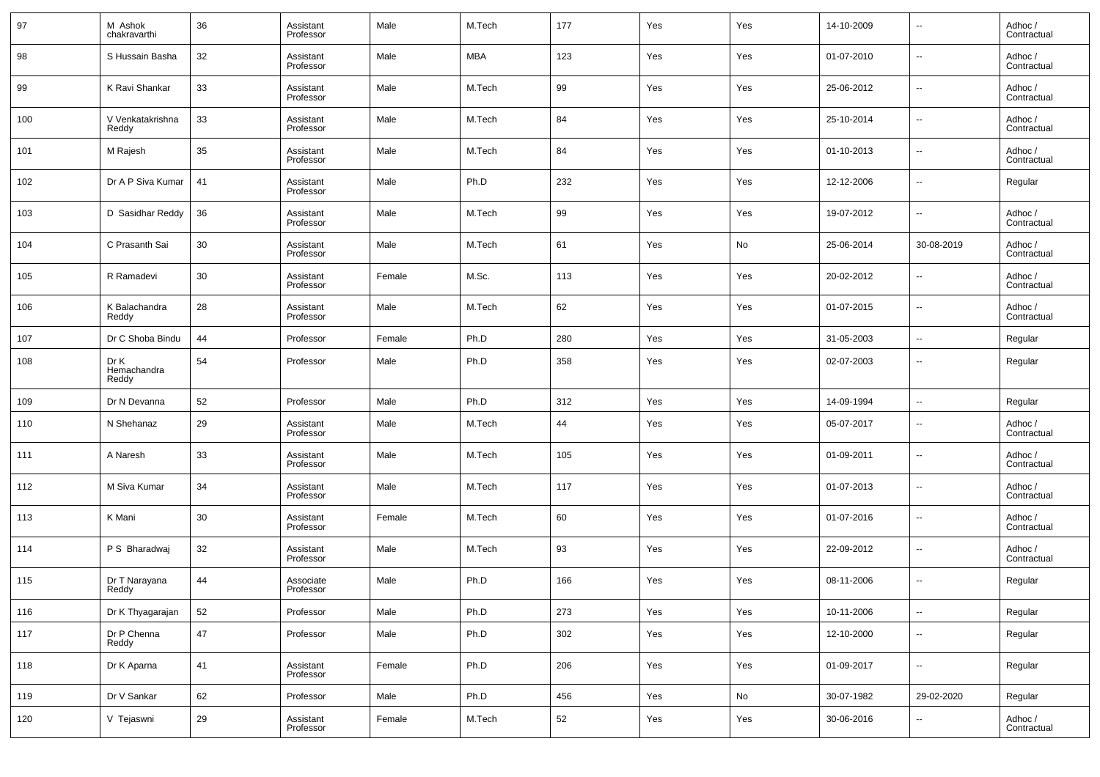| 97  | M Ashok<br>chakravarthi      | 36 | Assistant<br>Professor | Male   | M.Tech     | 177 | Yes | Yes | 14-10-2009 | $\overline{\phantom{a}}$ | Adhoc /<br>Contractual |
|-----|------------------------------|----|------------------------|--------|------------|-----|-----|-----|------------|--------------------------|------------------------|
| 98  | S Hussain Basha              | 32 | Assistant<br>Professor | Male   | <b>MBA</b> | 123 | Yes | Yes | 01-07-2010 | $\overline{\phantom{a}}$ | Adhoc /<br>Contractual |
| 99  | K Ravi Shankar               | 33 | Assistant<br>Professor | Male   | M.Tech     | 99  | Yes | Yes | 25-06-2012 | $\overline{\phantom{a}}$ | Adhoc /<br>Contractual |
| 100 | V Venkatakrishna<br>Reddy    | 33 | Assistant<br>Professor | Male   | M.Tech     | 84  | Yes | Yes | 25-10-2014 | $\overline{\phantom{a}}$ | Adhoc /<br>Contractual |
| 101 | M Rajesh                     | 35 | Assistant<br>Professor | Male   | M.Tech     | 84  | Yes | Yes | 01-10-2013 | $\overline{\phantom{a}}$ | Adhoc /<br>Contractual |
| 102 | Dr A P Siva Kumar            | 41 | Assistant<br>Professor | Male   | Ph.D       | 232 | Yes | Yes | 12-12-2006 | $\overline{\phantom{a}}$ | Regular                |
| 103 | D Sasidhar Reddy             | 36 | Assistant<br>Professor | Male   | M.Tech     | 99  | Yes | Yes | 19-07-2012 | $\overline{\phantom{a}}$ | Adhoc /<br>Contractual |
| 104 | C Prasanth Sai               | 30 | Assistant<br>Professor | Male   | M.Tech     | 61  | Yes | No  | 25-06-2014 | 30-08-2019               | Adhoc /<br>Contractual |
| 105 | R Ramadevi                   | 30 | Assistant<br>Professor | Female | M.Sc.      | 113 | Yes | Yes | 20-02-2012 | $\overline{\phantom{a}}$ | Adhoc /<br>Contractual |
| 106 | K Balachandra<br>Reddy       | 28 | Assistant<br>Professor | Male   | M.Tech     | 62  | Yes | Yes | 01-07-2015 | $\overline{\phantom{a}}$ | Adhoc /<br>Contractual |
| 107 | Dr C Shoba Bindu             | 44 | Professor              | Female | Ph.D       | 280 | Yes | Yes | 31-05-2003 | $\overline{\phantom{a}}$ | Regular                |
| 108 | Dr K<br>Hemachandra<br>Reddy | 54 | Professor              | Male   | Ph.D       | 358 | Yes | Yes | 02-07-2003 | $\overline{\phantom{a}}$ | Regular                |
| 109 | Dr N Devanna                 | 52 | Professor              | Male   | Ph.D       | 312 | Yes | Yes | 14-09-1994 | $\overline{\phantom{a}}$ | Regular                |
| 110 | N Shehanaz                   | 29 | Assistant<br>Professor | Male   | M.Tech     | 44  | Yes | Yes | 05-07-2017 | $\overline{\phantom{a}}$ | Adhoc /<br>Contractual |
| 111 | A Naresh                     | 33 | Assistant<br>Professor | Male   | M.Tech     | 105 | Yes | Yes | 01-09-2011 | $\overline{\phantom{a}}$ | Adhoc /<br>Contractual |
| 112 | M Siva Kumar                 | 34 | Assistant<br>Professor | Male   | M.Tech     | 117 | Yes | Yes | 01-07-2013 | $\overline{\phantom{a}}$ | Adhoc /<br>Contractual |
| 113 | K Mani                       | 30 | Assistant<br>Professor | Female | M.Tech     | 60  | Yes | Yes | 01-07-2016 | $\overline{\phantom{a}}$ | Adhoc /<br>Contractual |
| 114 | P S Bharadwaj                | 32 | Assistant<br>Professor | Male   | M.Tech     | 93  | Yes | Yes | 22-09-2012 | $\overline{\phantom{a}}$ | Adhoc /<br>Contractual |
| 115 | Dr T Narayana<br>Reddy       | 44 | Associate<br>Professor | Male   | Ph.D       | 166 | Yes | Yes | 08-11-2006 | $\overline{\phantom{a}}$ | Regular                |
| 116 | Dr K Thyagarajan             | 52 | Professor              | Male   | Ph.D       | 273 | Yes | Yes | 10-11-2006 | $\overline{\phantom{a}}$ | Regular                |
| 117 | Dr P Chenna<br>Reddy         | 47 | Professor              | Male   | Ph.D       | 302 | Yes | Yes | 12-10-2000 | $\overline{\phantom{a}}$ | Regular                |
| 118 | Dr K Aparna                  | 41 | Assistant<br>Professor | Female | Ph.D       | 206 | Yes | Yes | 01-09-2017 | $\overline{\phantom{a}}$ | Regular                |
| 119 | Dr V Sankar                  | 62 | Professor              | Male   | Ph.D       | 456 | Yes | No  | 30-07-1982 | 29-02-2020               | Regular                |
| 120 | V Tejaswni                   | 29 | Assistant<br>Professor | Female | M.Tech     | 52  | Yes | Yes | 30-06-2016 | $\overline{\phantom{a}}$ | Adhoc /<br>Contractual |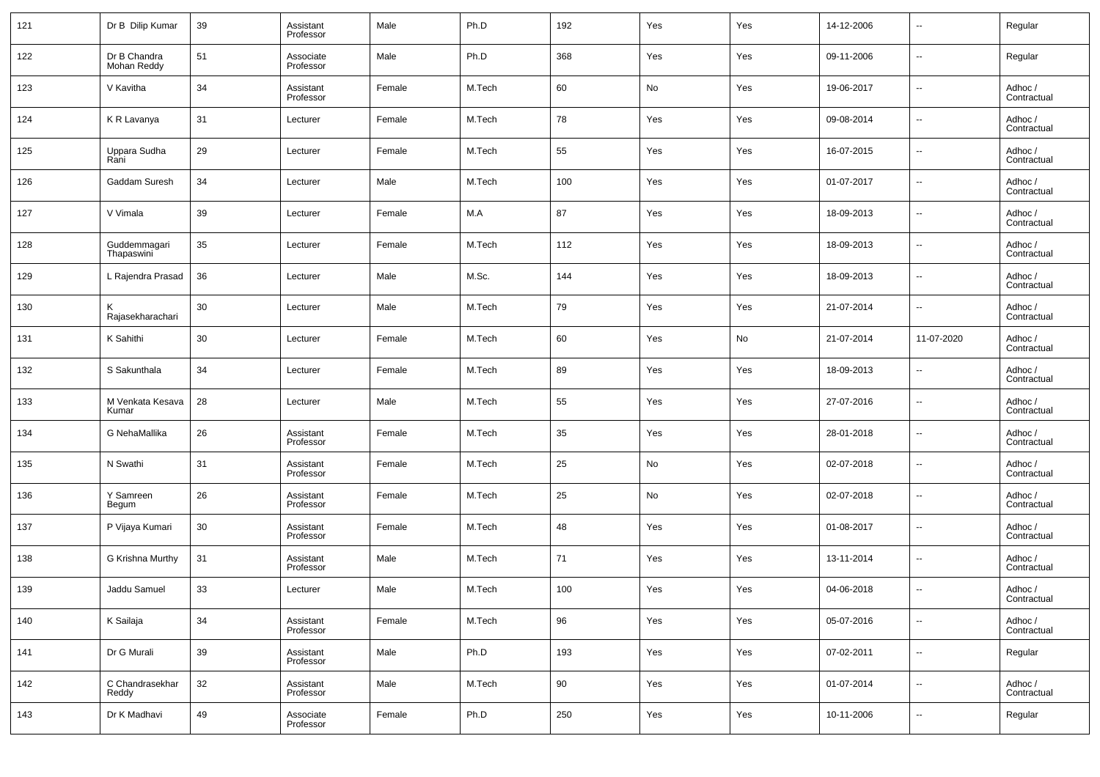| 121 | Dr B Dilip Kumar            | 39 | Assistant<br>Professor | Male   | Ph.D   | 192 | Yes | Yes | 14-12-2006 | $\overline{\phantom{a}}$ | Regular                |
|-----|-----------------------------|----|------------------------|--------|--------|-----|-----|-----|------------|--------------------------|------------------------|
| 122 | Dr B Chandra<br>Mohan Reddy | 51 | Associate<br>Professor | Male   | Ph.D   | 368 | Yes | Yes | 09-11-2006 | $\overline{\phantom{a}}$ | Regular                |
| 123 | V Kavitha                   | 34 | Assistant<br>Professor | Female | M.Tech | 60  | No  | Yes | 19-06-2017 | $\overline{\phantom{a}}$ | Adhoc /<br>Contractual |
| 124 | K R Lavanya                 | 31 | Lecturer               | Female | M.Tech | 78  | Yes | Yes | 09-08-2014 | $\overline{\phantom{a}}$ | Adhoc /<br>Contractual |
| 125 | Uppara Sudha<br>Rani        | 29 | Lecturer               | Female | M.Tech | 55  | Yes | Yes | 16-07-2015 | $\overline{\phantom{a}}$ | Adhoc /<br>Contractual |
| 126 | Gaddam Suresh               | 34 | Lecturer               | Male   | M.Tech | 100 | Yes | Yes | 01-07-2017 | $\overline{\phantom{a}}$ | Adhoc /<br>Contractual |
| 127 | V Vimala                    | 39 | Lecturer               | Female | M.A    | 87  | Yes | Yes | 18-09-2013 | $\overline{\phantom{a}}$ | Adhoc /<br>Contractual |
| 128 | Guddemmagari<br>Thapaswini  | 35 | Lecturer               | Female | M.Tech | 112 | Yes | Yes | 18-09-2013 | $\overline{\phantom{a}}$ | Adhoc /<br>Contractual |
| 129 | L Rajendra Prasad           | 36 | Lecturer               | Male   | M.Sc.  | 144 | Yes | Yes | 18-09-2013 | $\overline{\phantom{a}}$ | Adhoc /<br>Contractual |
| 130 | Κ<br>Rajasekharachari       | 30 | Lecturer               | Male   | M.Tech | 79  | Yes | Yes | 21-07-2014 | ۰.                       | Adhoc /<br>Contractual |
| 131 | K Sahithi                   | 30 | Lecturer               | Female | M.Tech | 60  | Yes | No  | 21-07-2014 | 11-07-2020               | Adhoc /<br>Contractual |
| 132 | S Sakunthala                | 34 | Lecturer               | Female | M.Tech | 89  | Yes | Yes | 18-09-2013 | $\overline{\phantom{a}}$ | Adhoc /<br>Contractual |
| 133 | M Venkata Kesava<br>Kumar   | 28 | Lecturer               | Male   | M.Tech | 55  | Yes | Yes | 27-07-2016 | $\overline{\phantom{a}}$ | Adhoc /<br>Contractual |
| 134 | G NehaMallika               | 26 | Assistant<br>Professor | Female | M.Tech | 35  | Yes | Yes | 28-01-2018 | $\overline{\phantom{a}}$ | Adhoc /<br>Contractual |
| 135 | N Swathi                    | 31 | Assistant<br>Professor | Female | M.Tech | 25  | No  | Yes | 02-07-2018 | $\overline{\phantom{a}}$ | Adhoc /<br>Contractual |
| 136 | Y Samreen<br>Begum          | 26 | Assistant<br>Professor | Female | M.Tech | 25  | No  | Yes | 02-07-2018 | $\overline{\phantom{a}}$ | Adhoc /<br>Contractual |
| 137 | P Vijaya Kumari             | 30 | Assistant<br>Professor | Female | M.Tech | 48  | Yes | Yes | 01-08-2017 | $\overline{\phantom{a}}$ | Adhoc /<br>Contractual |
| 138 | G Krishna Murthy            | 31 | Assistant<br>Professor | Male   | M.Tech | 71  | Yes | Yes | 13-11-2014 | $\overline{\phantom{a}}$ | Adhoc /<br>Contractual |
| 139 | Jaddu Samuel                | 33 | Lecturer               | Male   | M.Tech | 100 | Yes | Yes | 04-06-2018 | $\overline{\phantom{a}}$ | Adhoc /<br>Contractual |
| 140 | K Sailaja                   | 34 | Assistant<br>Professor | Female | M.Tech | 96  | Yes | Yes | 05-07-2016 | ۰.                       | Adhoc /<br>Contractual |
| 141 | Dr G Murali                 | 39 | Assistant<br>Professor | Male   | Ph.D   | 193 | Yes | Yes | 07-02-2011 | $\overline{\phantom{a}}$ | Regular                |
| 142 | C Chandrasekhar<br>Reddy    | 32 | Assistant<br>Professor | Male   | M.Tech | 90  | Yes | Yes | 01-07-2014 | ۰.                       | Adhoc /<br>Contractual |
| 143 | Dr K Madhavi                | 49 | Associate<br>Professor | Female | Ph.D   | 250 | Yes | Yes | 10-11-2006 | ۰.                       | Regular                |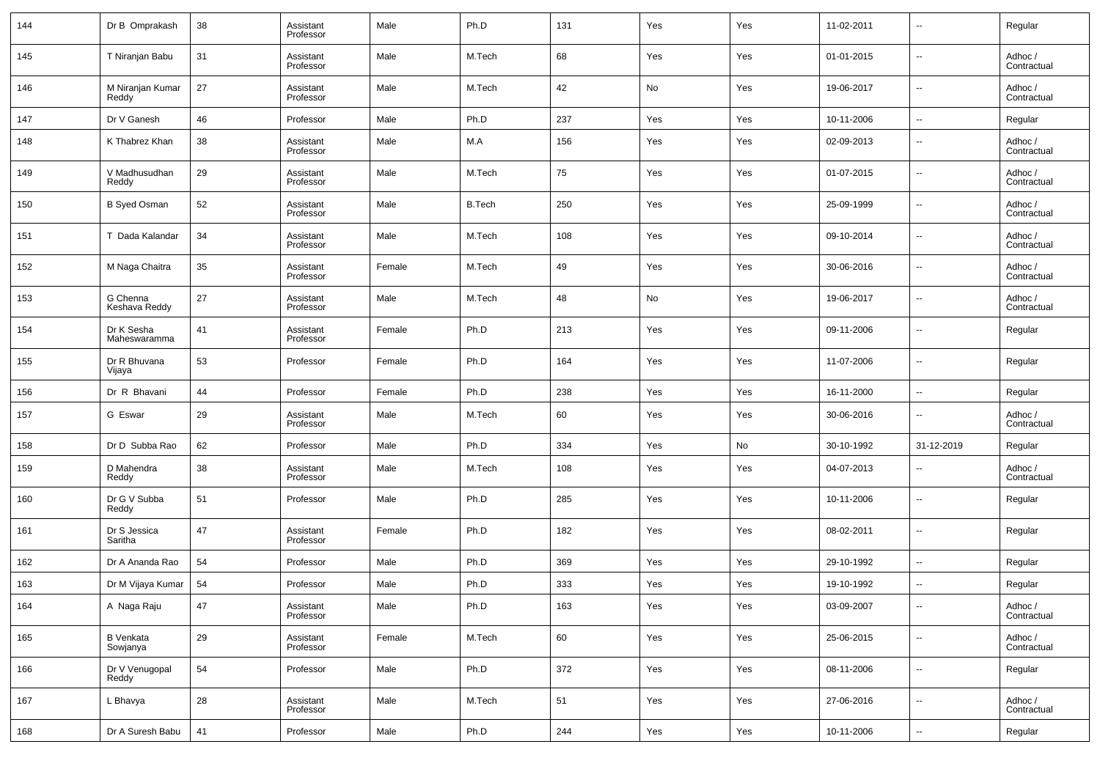| 144 | Dr B Omprakash             | 38 | Assistant<br>Professor | Male   | Ph.D          | 131 | Yes | Yes | 11-02-2011 | $\overline{\phantom{a}}$ | Regular                |
|-----|----------------------------|----|------------------------|--------|---------------|-----|-----|-----|------------|--------------------------|------------------------|
| 145 | T Niranjan Babu            | 31 | Assistant<br>Professor | Male   | M.Tech        | 68  | Yes | Yes | 01-01-2015 | $\overline{\phantom{a}}$ | Adhoc /<br>Contractual |
| 146 | M Niranjan Kumar<br>Reddy  | 27 | Assistant<br>Professor | Male   | M.Tech        | 42  | No  | Yes | 19-06-2017 | $\overline{\phantom{a}}$ | Adhoc /<br>Contractual |
| 147 | Dr V Ganesh                | 46 | Professor              | Male   | Ph.D          | 237 | Yes | Yes | 10-11-2006 | $\overline{\phantom{a}}$ | Regular                |
| 148 | K Thabrez Khan             | 38 | Assistant<br>Professor | Male   | M.A           | 156 | Yes | Yes | 02-09-2013 | $\overline{\phantom{a}}$ | Adhoc /<br>Contractual |
| 149 | V Madhusudhan<br>Reddy     | 29 | Assistant<br>Professor | Male   | M.Tech        | 75  | Yes | Yes | 01-07-2015 | $\overline{\phantom{a}}$ | Adhoc /<br>Contractual |
| 150 | <b>B Syed Osman</b>        | 52 | Assistant<br>Professor | Male   | <b>B.Tech</b> | 250 | Yes | Yes | 25-09-1999 | --                       | Adhoc /<br>Contractual |
| 151 | T Dada Kalandar            | 34 | Assistant<br>Professor | Male   | M.Tech        | 108 | Yes | Yes | 09-10-2014 | $\overline{\phantom{a}}$ | Adhoc /<br>Contractual |
| 152 | M Naga Chaitra             | 35 | Assistant<br>Professor | Female | M.Tech        | 49  | Yes | Yes | 30-06-2016 | --                       | Adhoc /<br>Contractual |
| 153 | G Chenna<br>Keshava Reddy  | 27 | Assistant<br>Professor | Male   | M.Tech        | 48  | No  | Yes | 19-06-2017 | $\overline{\phantom{a}}$ | Adhoc /<br>Contractual |
| 154 | Dr K Sesha<br>Maheswaramma | 41 | Assistant<br>Professor | Female | Ph.D          | 213 | Yes | Yes | 09-11-2006 | $\overline{\phantom{a}}$ | Regular                |
| 155 | Dr R Bhuvana<br>Vijaya     | 53 | Professor              | Female | Ph.D          | 164 | Yes | Yes | 11-07-2006 | --                       | Regular                |
| 156 | Dr R Bhavani               | 44 | Professor              | Female | Ph.D          | 238 | Yes | Yes | 16-11-2000 | $\overline{\phantom{a}}$ | Regular                |
| 157 | G Eswar                    | 29 | Assistant<br>Professor | Male   | M.Tech        | 60  | Yes | Yes | 30-06-2016 | $\overline{\phantom{a}}$ | Adhoc /<br>Contractual |
| 158 | Dr D Subba Rao             | 62 | Professor              | Male   | Ph.D          | 334 | Yes | No  | 30-10-1992 | 31-12-2019               | Regular                |
| 159 | D Mahendra<br>Reddy        | 38 | Assistant<br>Professor | Male   | M.Tech        | 108 | Yes | Yes | 04-07-2013 | $\overline{\phantom{a}}$ | Adhoc /<br>Contractual |
| 160 | Dr G V Subba<br>Reddy      | 51 | Professor              | Male   | Ph.D          | 285 | Yes | Yes | 10-11-2006 | --                       | Regular                |
| 161 | Dr S Jessica<br>Saritha    | 47 | Assistant<br>Professor | Female | Ph.D          | 182 | Yes | Yes | 08-02-2011 | --                       | Regular                |
| 162 | Dr A Ananda Rao            | 54 | Professor              | Male   | Ph.D          | 369 | Yes | Yes | 29-10-1992 | --                       | Regular                |
| 163 | Dr M Vijaya Kumar          | 54 | Professor              | Male   | Ph.D          | 333 | Yes | Yes | 19-10-1992 | --                       | Regular                |
| 164 | A Naga Raju                | 47 | Assistant<br>Professor | Male   | Ph.D          | 163 | Yes | Yes | 03-09-2007 | ۰.                       | Adhoc /<br>Contractual |
| 165 | B Venkata<br>Sowjanya      | 29 | Assistant<br>Professor | Female | M.Tech        | 60  | Yes | Yes | 25-06-2015 | $\overline{\phantom{a}}$ | Adhoc /<br>Contractual |
| 166 | Dr V Venugopal<br>Reddy    | 54 | Professor              | Male   | Ph.D          | 372 | Yes | Yes | 08-11-2006 | $\overline{\phantom{a}}$ | Regular                |
| 167 | L Bhavya                   | 28 | Assistant<br>Professor | Male   | M.Tech        | 51  | Yes | Yes | 27-06-2016 | $\overline{\phantom{a}}$ | Adhoc /<br>Contractual |
| 168 | Dr A Suresh Babu           | 41 | Professor              | Male   | Ph.D          | 244 | Yes | Yes | 10-11-2006 | $\overline{\phantom{a}}$ | Regular                |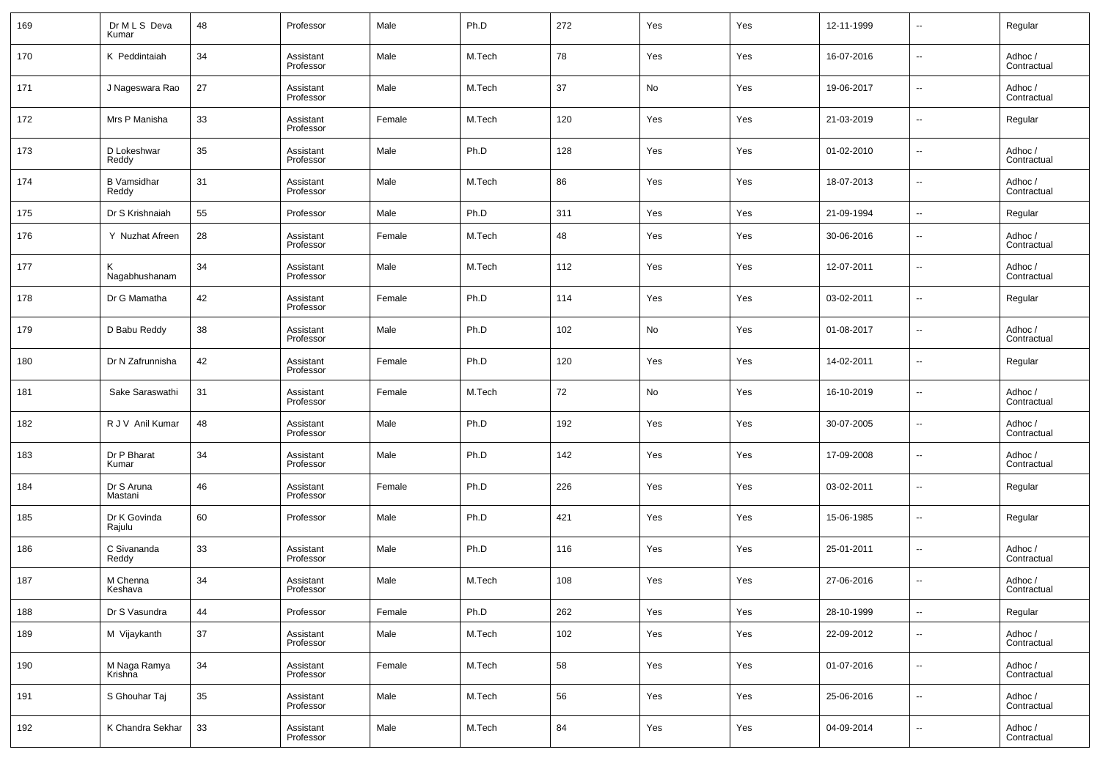| 169 | Dr M L S Deva<br>Kumar      | 48 | Professor              | Male   | Ph.D   | 272 | Yes | Yes | 12-11-1999 | $\overline{\phantom{a}}$ | Regular                |
|-----|-----------------------------|----|------------------------|--------|--------|-----|-----|-----|------------|--------------------------|------------------------|
| 170 | K Peddintaiah               | 34 | Assistant<br>Professor | Male   | M.Tech | 78  | Yes | Yes | 16-07-2016 | $\overline{\phantom{a}}$ | Adhoc /<br>Contractual |
| 171 | J Nageswara Rao             | 27 | Assistant<br>Professor | Male   | M.Tech | 37  | No  | Yes | 19-06-2017 | $\overline{\phantom{a}}$ | Adhoc /<br>Contractual |
| 172 | Mrs P Manisha               | 33 | Assistant<br>Professor | Female | M.Tech | 120 | Yes | Yes | 21-03-2019 | $\overline{\phantom{a}}$ | Regular                |
| 173 | D Lokeshwar<br>Reddy        | 35 | Assistant<br>Professor | Male   | Ph.D   | 128 | Yes | Yes | 01-02-2010 | $\overline{\phantom{a}}$ | Adhoc /<br>Contractual |
| 174 | <b>B</b> Vamsidhar<br>Reddy | 31 | Assistant<br>Professor | Male   | M.Tech | 86  | Yes | Yes | 18-07-2013 | $\overline{\phantom{a}}$ | Adhoc /<br>Contractual |
| 175 | Dr S Krishnaiah             | 55 | Professor              | Male   | Ph.D   | 311 | Yes | Yes | 21-09-1994 | $\overline{\phantom{a}}$ | Regular                |
| 176 | Y Nuzhat Afreen             | 28 | Assistant<br>Professor | Female | M.Tech | 48  | Yes | Yes | 30-06-2016 | $\overline{\phantom{a}}$ | Adhoc /<br>Contractual |
| 177 | Κ<br>Nagabhushanam          | 34 | Assistant<br>Professor | Male   | M.Tech | 112 | Yes | Yes | 12-07-2011 | $\overline{\phantom{a}}$ | Adhoc /<br>Contractual |
| 178 | Dr G Mamatha                | 42 | Assistant<br>Professor | Female | Ph.D   | 114 | Yes | Yes | 03-02-2011 | $\overline{\phantom{a}}$ | Regular                |
| 179 | D Babu Reddy                | 38 | Assistant<br>Professor | Male   | Ph.D   | 102 | No  | Yes | 01-08-2017 | $\overline{\phantom{a}}$ | Adhoc /<br>Contractual |
| 180 | Dr N Zafrunnisha            | 42 | Assistant<br>Professor | Female | Ph.D   | 120 | Yes | Yes | 14-02-2011 | --                       | Regular                |
| 181 | Sake Saraswathi             | 31 | Assistant<br>Professor | Female | M.Tech | 72  | No  | Yes | 16-10-2019 | $\overline{\phantom{a}}$ | Adhoc /<br>Contractual |
| 182 | R J V Anil Kumar            | 48 | Assistant<br>Professor | Male   | Ph.D   | 192 | Yes | Yes | 30-07-2005 | $\overline{\phantom{a}}$ | Adhoc /<br>Contractual |
| 183 | Dr P Bharat<br>Kumar        | 34 | Assistant<br>Professor | Male   | Ph.D   | 142 | Yes | Yes | 17-09-2008 | $\overline{\phantom{a}}$ | Adhoc /<br>Contractual |
| 184 | Dr S Aruna<br>Mastani       | 46 | Assistant<br>Professor | Female | Ph.D   | 226 | Yes | Yes | 03-02-2011 | $\overline{\phantom{a}}$ | Regular                |
| 185 | Dr K Govinda<br>Rajulu      | 60 | Professor              | Male   | Ph.D   | 421 | Yes | Yes | 15-06-1985 | --                       | Regular                |
| 186 | C Sivananda<br>Reddy        | 33 | Assistant<br>Professor | Male   | Ph.D   | 116 | Yes | Yes | 25-01-2011 | $\overline{\phantom{a}}$ | Adhoc /<br>Contractual |
| 187 | M Chenna<br>Keshava         | 34 | Assistant<br>Professor | Male   | M.Tech | 108 | Yes | Yes | 27-06-2016 | $\overline{\phantom{a}}$ | Adhoc /<br>Contractual |
| 188 | Dr S Vasundra               | 44 | Professor              | Female | Ph.D   | 262 | Yes | Yes | 28-10-1999 | $\overline{\phantom{a}}$ | Regular                |
| 189 | M Vijaykanth                | 37 | Assistant<br>Professor | Male   | M.Tech | 102 | Yes | Yes | 22-09-2012 | $\overline{\phantom{a}}$ | Adhoc /<br>Contractual |
| 190 | M Naga Ramya<br>Krishna     | 34 | Assistant<br>Professor | Female | M.Tech | 58  | Yes | Yes | 01-07-2016 | ۰.                       | Adhoc /<br>Contractual |
| 191 | S Ghouhar Taj               | 35 | Assistant<br>Professor | Male   | M.Tech | 56  | Yes | Yes | 25-06-2016 | $\overline{\phantom{a}}$ | Adhoc /<br>Contractual |
| 192 | K Chandra Sekhar            | 33 | Assistant<br>Professor | Male   | M.Tech | 84  | Yes | Yes | 04-09-2014 | ۰.                       | Adhoc /<br>Contractual |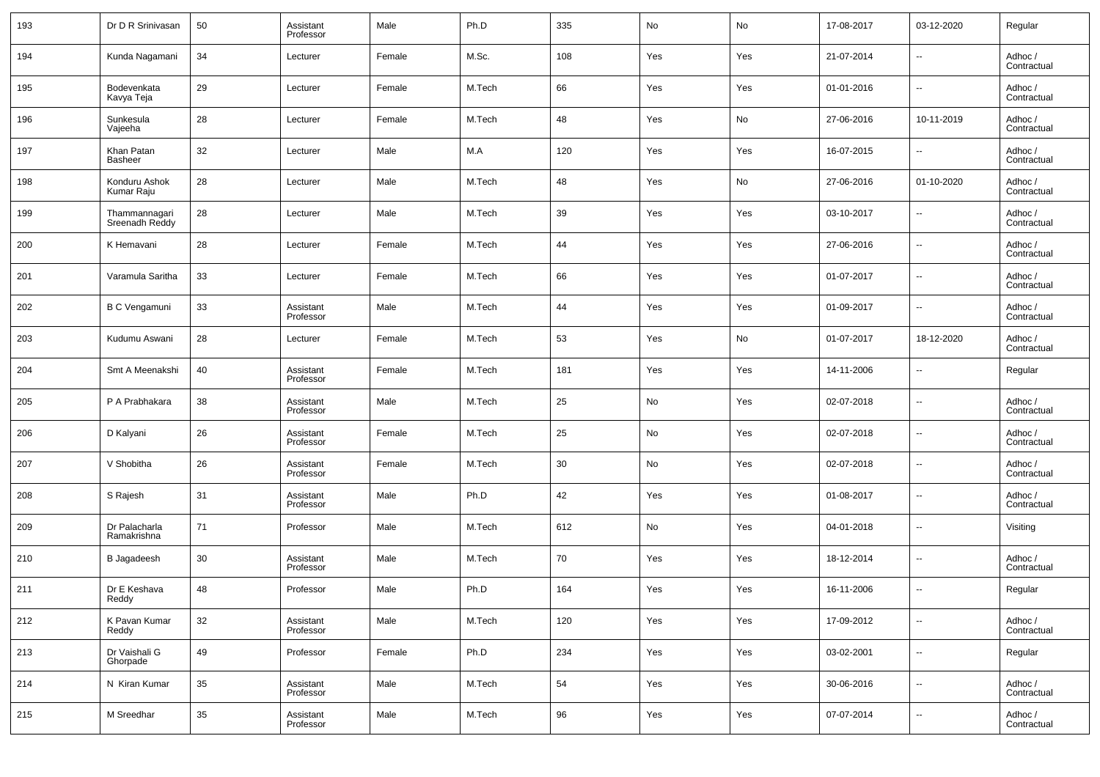| 193 | Dr D R Srinivasan               | 50 | Assistant<br>Professor | Male   | Ph.D   | 335 | No  | No  | 17-08-2017 | 03-12-2020               | Regular                |
|-----|---------------------------------|----|------------------------|--------|--------|-----|-----|-----|------------|--------------------------|------------------------|
| 194 | Kunda Nagamani                  | 34 | Lecturer               | Female | M.Sc.  | 108 | Yes | Yes | 21-07-2014 | $\sim$                   | Adhoc /<br>Contractual |
| 195 | Bodevenkata<br>Kavya Teja       | 29 | Lecturer               | Female | M.Tech | 66  | Yes | Yes | 01-01-2016 | $\overline{\phantom{a}}$ | Adhoc /<br>Contractual |
| 196 | Sunkesula<br>Vajeeha            | 28 | Lecturer               | Female | M.Tech | 48  | Yes | No  | 27-06-2016 | 10-11-2019               | Adhoc /<br>Contractual |
| 197 | Khan Patan<br><b>Basheer</b>    | 32 | Lecturer               | Male   | M.A    | 120 | Yes | Yes | 16-07-2015 | $\overline{\phantom{a}}$ | Adhoc /<br>Contractual |
| 198 | Konduru Ashok<br>Kumar Raju     | 28 | Lecturer               | Male   | M.Tech | 48  | Yes | No  | 27-06-2016 | 01-10-2020               | Adhoc /<br>Contractual |
| 199 | Thammannagari<br>Sreenadh Reddy | 28 | Lecturer               | Male   | M.Tech | 39  | Yes | Yes | 03-10-2017 | $\overline{\phantom{a}}$ | Adhoc /<br>Contractual |
| 200 | K Hemavani                      | 28 | Lecturer               | Female | M.Tech | 44  | Yes | Yes | 27-06-2016 | $\overline{\phantom{a}}$ | Adhoc /<br>Contractual |
| 201 | Varamula Saritha                | 33 | Lecturer               | Female | M.Tech | 66  | Yes | Yes | 01-07-2017 | $\overline{\phantom{a}}$ | Adhoc /<br>Contractual |
| 202 | <b>B C Vengamuni</b>            | 33 | Assistant<br>Professor | Male   | M.Tech | 44  | Yes | Yes | 01-09-2017 | $\overline{\phantom{a}}$ | Adhoc /<br>Contractual |
| 203 | Kudumu Aswani                   | 28 | Lecturer               | Female | M.Tech | 53  | Yes | No  | 01-07-2017 | 18-12-2020               | Adhoc /<br>Contractual |
| 204 | Smt A Meenakshi                 | 40 | Assistant<br>Professor | Female | M.Tech | 181 | Yes | Yes | 14-11-2006 | $\overline{\phantom{a}}$ | Regular                |
| 205 | P A Prabhakara                  | 38 | Assistant<br>Professor | Male   | M.Tech | 25  | No  | Yes | 02-07-2018 | $\overline{\phantom{a}}$ | Adhoc /<br>Contractual |
| 206 | D Kalyani                       | 26 | Assistant<br>Professor | Female | M.Tech | 25  | No  | Yes | 02-07-2018 | $\overline{\phantom{a}}$ | Adhoc /<br>Contractual |
| 207 | V Shobitha                      | 26 | Assistant<br>Professor | Female | M.Tech | 30  | No  | Yes | 02-07-2018 | $\overline{\phantom{a}}$ | Adhoc /<br>Contractual |
| 208 | S Rajesh                        | 31 | Assistant<br>Professor | Male   | Ph.D   | 42  | Yes | Yes | 01-08-2017 | $\overline{\phantom{a}}$ | Adhoc /<br>Contractual |
| 209 | Dr Palacharla<br>Ramakrishna    | 71 | Professor              | Male   | M.Tech | 612 | No  | Yes | 04-01-2018 | $\overline{\phantom{a}}$ | Visiting               |
| 210 | <b>B</b> Jagadeesh              | 30 | Assistant<br>Professor | Male   | M.Tech | 70  | Yes | Yes | 18-12-2014 | $\overline{\phantom{a}}$ | Adhoc /<br>Contractual |
| 211 | Dr E Keshava<br>Reddy           | 48 | Professor              | Male   | Ph.D   | 164 | Yes | Yes | 16-11-2006 | $\overline{\phantom{a}}$ | Regular                |
| 212 | K Pavan Kumar<br>Reddy          | 32 | Assistant<br>Professor | Male   | M.Tech | 120 | Yes | Yes | 17-09-2012 | $\overline{\phantom{a}}$ | Adhoc /<br>Contractual |
| 213 | Dr Vaishali G<br>Ghorpade       | 49 | Professor              | Female | Ph.D   | 234 | Yes | Yes | 03-02-2001 | $\overline{\phantom{a}}$ | Regular                |
| 214 | N Kiran Kumar                   | 35 | Assistant<br>Professor | Male   | M.Tech | 54  | Yes | Yes | 30-06-2016 | $\overline{\phantom{a}}$ | Adhoc /<br>Contractual |
| 215 | M Sreedhar                      | 35 | Assistant<br>Professor | Male   | M.Tech | 96  | Yes | Yes | 07-07-2014 | $\overline{\phantom{a}}$ | Adhoc /<br>Contractual |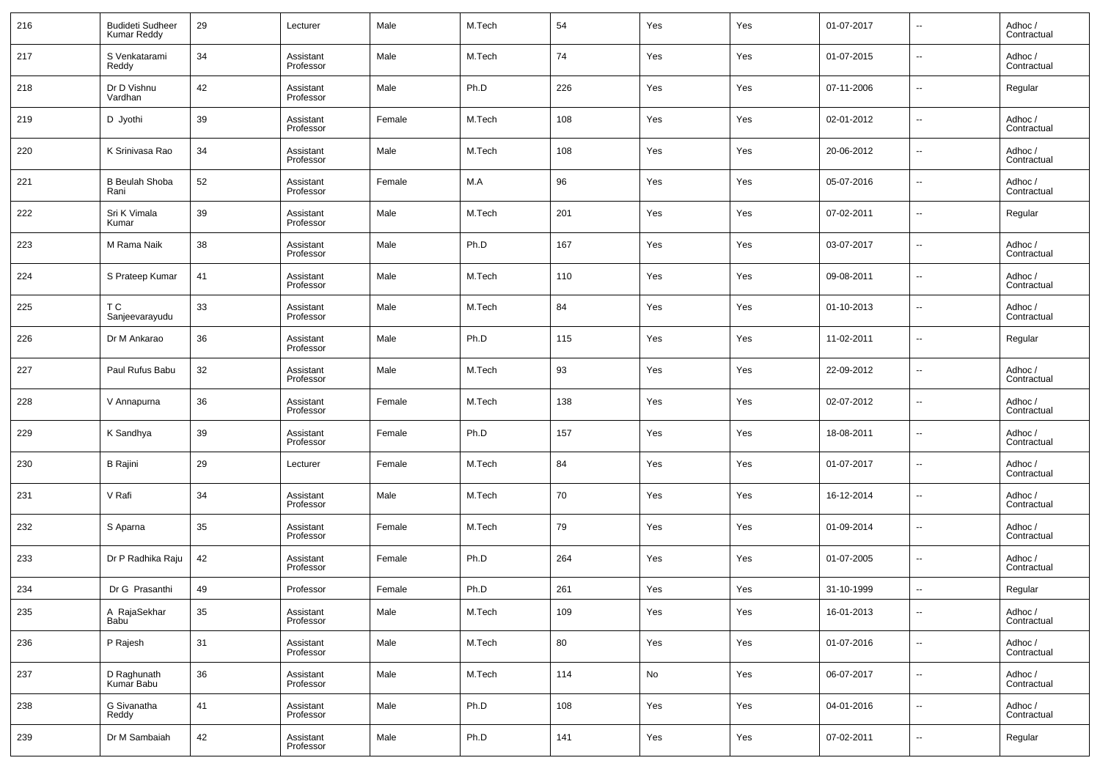| 216 | <b>Budideti Sudheer</b><br><b>Kumar Reddy</b> | 29 | Lecturer               | Male   | M.Tech | 54  | Yes | Yes | 01-07-2017 | --                       | Adhoc /<br>Contractual |
|-----|-----------------------------------------------|----|------------------------|--------|--------|-----|-----|-----|------------|--------------------------|------------------------|
| 217 | S Venkatarami<br>Reddy                        | 34 | Assistant<br>Professor | Male   | M.Tech | 74  | Yes | Yes | 01-07-2015 | $\overline{\phantom{a}}$ | Adhoc /<br>Contractual |
| 218 | Dr D Vishnu<br>Vardhan                        | 42 | Assistant<br>Professor | Male   | Ph.D   | 226 | Yes | Yes | 07-11-2006 | $\overline{\phantom{a}}$ | Regular                |
| 219 | D Jyothi                                      | 39 | Assistant<br>Professor | Female | M.Tech | 108 | Yes | Yes | 02-01-2012 | --                       | Adhoc /<br>Contractual |
| 220 | K Srinivasa Rao                               | 34 | Assistant<br>Professor | Male   | M.Tech | 108 | Yes | Yes | 20-06-2012 | $\overline{\phantom{a}}$ | Adhoc /<br>Contractual |
| 221 | <b>B</b> Beulah Shoba<br>Rani                 | 52 | Assistant<br>Professor | Female | M.A    | 96  | Yes | Yes | 05-07-2016 | --                       | Adhoc /<br>Contractual |
| 222 | Sri K Vimala<br>Kumar                         | 39 | Assistant<br>Professor | Male   | M.Tech | 201 | Yes | Yes | 07-02-2011 | --                       | Regular                |
| 223 | M Rama Naik                                   | 38 | Assistant<br>Professor | Male   | Ph.D   | 167 | Yes | Yes | 03-07-2017 | $\overline{\phantom{a}}$ | Adhoc /<br>Contractual |
| 224 | S Prateep Kumar                               | 41 | Assistant<br>Professor | Male   | M.Tech | 110 | Yes | Yes | 09-08-2011 | --                       | Adhoc /<br>Contractual |
| 225 | T C<br>Sanjeevarayudu                         | 33 | Assistant<br>Professor | Male   | M.Tech | 84  | Yes | Yes | 01-10-2013 | $\overline{\phantom{a}}$ | Adhoc /<br>Contractual |
| 226 | Dr M Ankarao                                  | 36 | Assistant<br>Professor | Male   | Ph.D   | 115 | Yes | Yes | 11-02-2011 | --                       | Regular                |
| 227 | Paul Rufus Babu                               | 32 | Assistant<br>Professor | Male   | M.Tech | 93  | Yes | Yes | 22-09-2012 | --                       | Adhoc /<br>Contractual |
| 228 | V Annapurna                                   | 36 | Assistant<br>Professor | Female | M.Tech | 138 | Yes | Yes | 02-07-2012 | $\overline{\phantom{a}}$ | Adhoc /<br>Contractual |
| 229 | K Sandhya                                     | 39 | Assistant<br>Professor | Female | Ph.D   | 157 | Yes | Yes | 18-08-2011 | --                       | Adhoc /<br>Contractual |
| 230 | <b>B</b> Rajini                               | 29 | Lecturer               | Female | M.Tech | 84  | Yes | Yes | 01-07-2017 | --                       | Adhoc /<br>Contractual |
| 231 | V Rafi                                        | 34 | Assistant<br>Professor | Male   | M.Tech | 70  | Yes | Yes | 16-12-2014 | --                       | Adhoc /<br>Contractual |
| 232 | S Aparna                                      | 35 | Assistant<br>Professor | Female | M.Tech | 79  | Yes | Yes | 01-09-2014 | --                       | Adhoc /<br>Contractual |
| 233 | Dr P Radhika Raju                             | 42 | Assistant<br>Professor | Female | Ph.D   | 264 | Yes | Yes | 01-07-2005 | --                       | Adhoc /<br>Contractual |
| 234 | Dr G Prasanthi                                | 49 | Professor              | Female | Ph.D   | 261 | Yes | Yes | 31-10-1999 | $\sim$                   | Regular                |
| 235 | A RajaSekhar<br>Babu <sup>1</sup>             | 35 | Assistant<br>Professor | Male   | M.Tech | 109 | Yes | Yes | 16-01-2013 | $\overline{\phantom{a}}$ | Adhoc /<br>Contractual |
| 236 | P Rajesh                                      | 31 | Assistant<br>Professor | Male   | M.Tech | 80  | Yes | Yes | 01-07-2016 | ۰.                       | Adhoc /<br>Contractual |
| 237 | D Raghunath<br>Kumar Babu                     | 36 | Assistant<br>Professor | Male   | M.Tech | 114 | No  | Yes | 06-07-2017 | ۰.                       | Adhoc /<br>Contractual |
| 238 | G Sivanatha<br>Reddy                          | 41 | Assistant<br>Professor | Male   | Ph.D   | 108 | Yes | Yes | 04-01-2016 | $\overline{\phantom{a}}$ | Adhoc /<br>Contractual |
| 239 | Dr M Sambaiah                                 | 42 | Assistant<br>Professor | Male   | Ph.D   | 141 | Yes | Yes | 07-02-2011 | $\overline{\phantom{a}}$ | Regular                |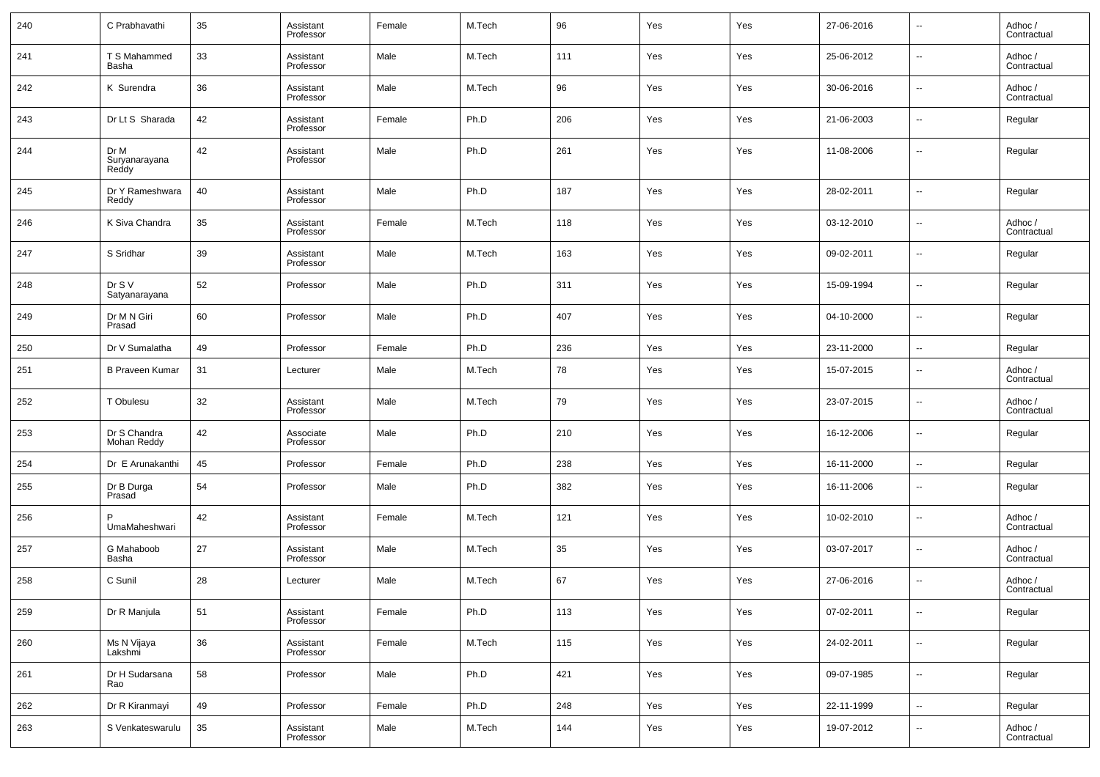| 240 | C Prabhavathi                  | 35 | Assistant<br>Professor | Female | M.Tech | 96  | Yes | Yes | 27-06-2016 | --                       | Adhoc /<br>Contractual |
|-----|--------------------------------|----|------------------------|--------|--------|-----|-----|-----|------------|--------------------------|------------------------|
| 241 | T S Mahammed<br>Basha          | 33 | Assistant<br>Professor | Male   | M.Tech | 111 | Yes | Yes | 25-06-2012 | $\overline{\phantom{a}}$ | Adhoc /<br>Contractual |
| 242 | K Surendra                     | 36 | Assistant<br>Professor | Male   | M.Tech | 96  | Yes | Yes | 30-06-2016 | $\overline{\phantom{a}}$ | Adhoc /<br>Contractual |
| 243 | Dr Lt S Sharada                | 42 | Assistant<br>Professor | Female | Ph.D   | 206 | Yes | Yes | 21-06-2003 | --                       | Regular                |
| 244 | Dr M<br>Suryanarayana<br>Reddy | 42 | Assistant<br>Professor | Male   | Ph.D   | 261 | Yes | Yes | 11-08-2006 | $\overline{\phantom{a}}$ | Regular                |
| 245 | Dr Y Rameshwara<br>Reddy       | 40 | Assistant<br>Professor | Male   | Ph.D   | 187 | Yes | Yes | 28-02-2011 | $\ddotsc$                | Regular                |
| 246 | K Siva Chandra                 | 35 | Assistant<br>Professor | Female | M.Tech | 118 | Yes | Yes | 03-12-2010 | $\overline{\phantom{a}}$ | Adhoc /<br>Contractual |
| 247 | S Sridhar                      | 39 | Assistant<br>Professor | Male   | M.Tech | 163 | Yes | Yes | 09-02-2011 | $\ddotsc$                | Regular                |
| 248 | Dr S V<br>Satyanarayana        | 52 | Professor              | Male   | Ph.D   | 311 | Yes | Yes | 15-09-1994 | $\overline{\phantom{a}}$ | Regular                |
| 249 | Dr M N Giri<br>Prasad          | 60 | Professor              | Male   | Ph.D   | 407 | Yes | Yes | 04-10-2000 | $\overline{\phantom{a}}$ | Regular                |
| 250 | Dr V Sumalatha                 | 49 | Professor              | Female | Ph.D   | 236 | Yes | Yes | 23-11-2000 | $\ddotsc$                | Regular                |
| 251 | <b>B Praveen Kumar</b>         | 31 | Lecturer               | Male   | M.Tech | 78  | Yes | Yes | 15-07-2015 | --                       | Adhoc /<br>Contractual |
| 252 | T Obulesu                      | 32 | Assistant<br>Professor | Male   | M.Tech | 79  | Yes | Yes | 23-07-2015 | $\overline{\phantom{a}}$ | Adhoc /<br>Contractual |
| 253 | Dr S Chandra<br>Mohan Reddy    | 42 | Associate<br>Professor | Male   | Ph.D   | 210 | Yes | Yes | 16-12-2006 | --                       | Regular                |
| 254 | Dr E Arunakanthi               | 45 | Professor              | Female | Ph.D   | 238 | Yes | Yes | 16-11-2000 | $\overline{\phantom{a}}$ | Regular                |
| 255 | Dr B Durga<br>Prasad           | 54 | Professor              | Male   | Ph.D   | 382 | Yes | Yes | 16-11-2006 | $\overline{\phantom{a}}$ | Regular                |
| 256 | UmaMaheshwari                  | 42 | Assistant<br>Professor | Female | M.Tech | 121 | Yes | Yes | 10-02-2010 | $\overline{\phantom{a}}$ | Adhoc /<br>Contractual |
| 257 | G Mahaboob<br>Basha            | 27 | Assistant<br>Professor | Male   | M.Tech | 35  | Yes | Yes | 03-07-2017 | $\overline{\phantom{a}}$ | Adhoc /<br>Contractual |
| 258 | C Sunil                        | 28 | Lecturer               | Male   | M.Tech | 67  | Yes | Yes | 27-06-2016 | $\overline{\phantom{a}}$ | Adhoc /<br>Contractual |
| 259 | Dr R Manjula                   | 51 | Assistant<br>Professor | Female | Ph.D   | 113 | Yes | Yes | 07-02-2011 | $\overline{\phantom{a}}$ | Regular                |
| 260 | Ms N Vijaya<br>Lakshmi         | 36 | Assistant<br>Professor | Female | M.Tech | 115 | Yes | Yes | 24-02-2011 | ۰.                       | Regular                |
| 261 | Dr H Sudarsana<br>Rao          | 58 | Professor              | Male   | Ph.D   | 421 | Yes | Yes | 09-07-1985 | ۰.                       | Regular                |
| 262 | Dr R Kiranmayi                 | 49 | Professor              | Female | Ph.D   | 248 | Yes | Yes | 22-11-1999 | ۰.                       | Regular                |
| 263 | S Venkateswarulu               | 35 | Assistant<br>Professor | Male   | M.Tech | 144 | Yes | Yes | 19-07-2012 | $\overline{\phantom{a}}$ | Adhoc /<br>Contractual |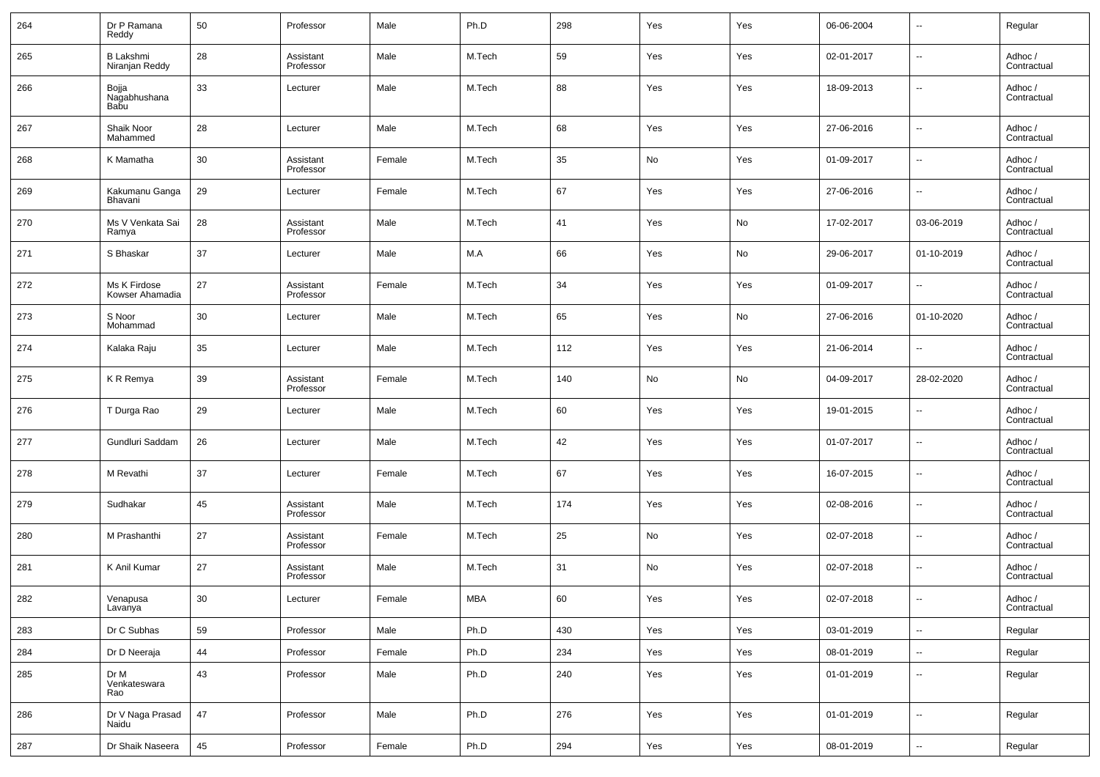| 264 | Dr P Ramana<br>Reddy               | 50 | Professor              | Male   | Ph.D       | 298 | Yes | Yes | 06-06-2004 | $\overline{\phantom{a}}$ | Regular                |
|-----|------------------------------------|----|------------------------|--------|------------|-----|-----|-----|------------|--------------------------|------------------------|
| 265 | <b>B Lakshmi</b><br>Niranjan Reddy | 28 | Assistant<br>Professor | Male   | M.Tech     | 59  | Yes | Yes | 02-01-2017 | $\overline{\phantom{a}}$ | Adhoc /<br>Contractual |
| 266 | Bojja<br>Nagabhushana<br>Babu      | 33 | Lecturer               | Male   | M.Tech     | 88  | Yes | Yes | 18-09-2013 | $\overline{\phantom{a}}$ | Adhoc /<br>Contractual |
| 267 | Shaik Noor<br>Mahammed             | 28 | Lecturer               | Male   | M.Tech     | 68  | Yes | Yes | 27-06-2016 | $\sim$                   | Adhoc /<br>Contractual |
| 268 | K Mamatha                          | 30 | Assistant<br>Professor | Female | M.Tech     | 35  | No  | Yes | 01-09-2017 | $\ddotsc$                | Adhoc /<br>Contractual |
| 269 | Kakumanu Ganga<br>Bhavani          | 29 | Lecturer               | Female | M.Tech     | 67  | Yes | Yes | 27-06-2016 | --                       | Adhoc /<br>Contractual |
| 270 | Ms V Venkata Sai<br>Ramya          | 28 | Assistant<br>Professor | Male   | M.Tech     | 41  | Yes | No  | 17-02-2017 | 03-06-2019               | Adhoc /<br>Contractual |
| 271 | S Bhaskar                          | 37 | Lecturer               | Male   | M.A        | 66  | Yes | No  | 29-06-2017 | 01-10-2019               | Adhoc /<br>Contractual |
| 272 | Ms K Firdose<br>Kowser Ahamadia    | 27 | Assistant<br>Professor | Female | M.Tech     | 34  | Yes | Yes | 01-09-2017 | --                       | Adhoc /<br>Contractual |
| 273 | S Noor<br>Mohammad                 | 30 | Lecturer               | Male   | M.Tech     | 65  | Yes | No  | 27-06-2016 | 01-10-2020               | Adhoc /<br>Contractual |
| 274 | Kalaka Raju                        | 35 | Lecturer               | Male   | M.Tech     | 112 | Yes | Yes | 21-06-2014 | --                       | Adhoc /<br>Contractual |
| 275 | K R Remya                          | 39 | Assistant<br>Professor | Female | M.Tech     | 140 | No  | No  | 04-09-2017 | 28-02-2020               | Adhoc /<br>Contractual |
| 276 | T Durga Rao                        | 29 | Lecturer               | Male   | M.Tech     | 60  | Yes | Yes | 19-01-2015 | $\ddotsc$                | Adhoc /<br>Contractual |
| 277 | Gundluri Saddam                    | 26 | Lecturer               | Male   | M.Tech     | 42  | Yes | Yes | 01-07-2017 | $\ddotsc$                | Adhoc /<br>Contractual |
| 278 | M Revathi                          | 37 | Lecturer               | Female | M.Tech     | 67  | Yes | Yes | 16-07-2015 | $\ddotsc$                | Adhoc /<br>Contractual |
| 279 | Sudhakar                           | 45 | Assistant<br>Professor | Male   | M.Tech     | 174 | Yes | Yes | 02-08-2016 | $\ddotsc$                | Adhoc /<br>Contractual |
| 280 | M Prashanthi                       | 27 | Assistant<br>Professor | Female | M.Tech     | 25  | No  | Yes | 02-07-2018 | $\overline{\phantom{a}}$ | Adhoc /<br>Contractual |
| 281 | K Anil Kumar                       | 27 | Assistant<br>Professor | Male   | M.Tech     | 31  | No  | Yes | 02-07-2018 | $\overline{\phantom{a}}$ | Adhoc /<br>Contractual |
| 282 | Venapusa<br>Lavanya                | 30 | Lecturer               | Female | <b>MBA</b> | 60  | Yes | Yes | 02-07-2018 |                          | Adhoc /<br>Contractual |
| 283 | Dr C Subhas                        | 59 | Professor              | Male   | Ph.D       | 430 | Yes | Yes | 03-01-2019 | $\overline{\phantom{a}}$ | Regular                |
| 284 | Dr D Neeraja                       | 44 | Professor              | Female | Ph.D       | 234 | Yes | Yes | 08-01-2019 | $\overline{\phantom{a}}$ | Regular                |
| 285 | Dr M<br>Venkateswara<br>Rao        | 43 | Professor              | Male   | Ph.D       | 240 | Yes | Yes | 01-01-2019 | ۰.                       | Regular                |
| 286 | Dr V Naga Prasad<br>Naidu          | 47 | Professor              | Male   | Ph.D       | 276 | Yes | Yes | 01-01-2019 | $\overline{\phantom{a}}$ | Regular                |
| 287 | Dr Shaik Naseera                   | 45 | Professor              | Female | Ph.D       | 294 | Yes | Yes | 08-01-2019 | $\overline{\phantom{a}}$ | Regular                |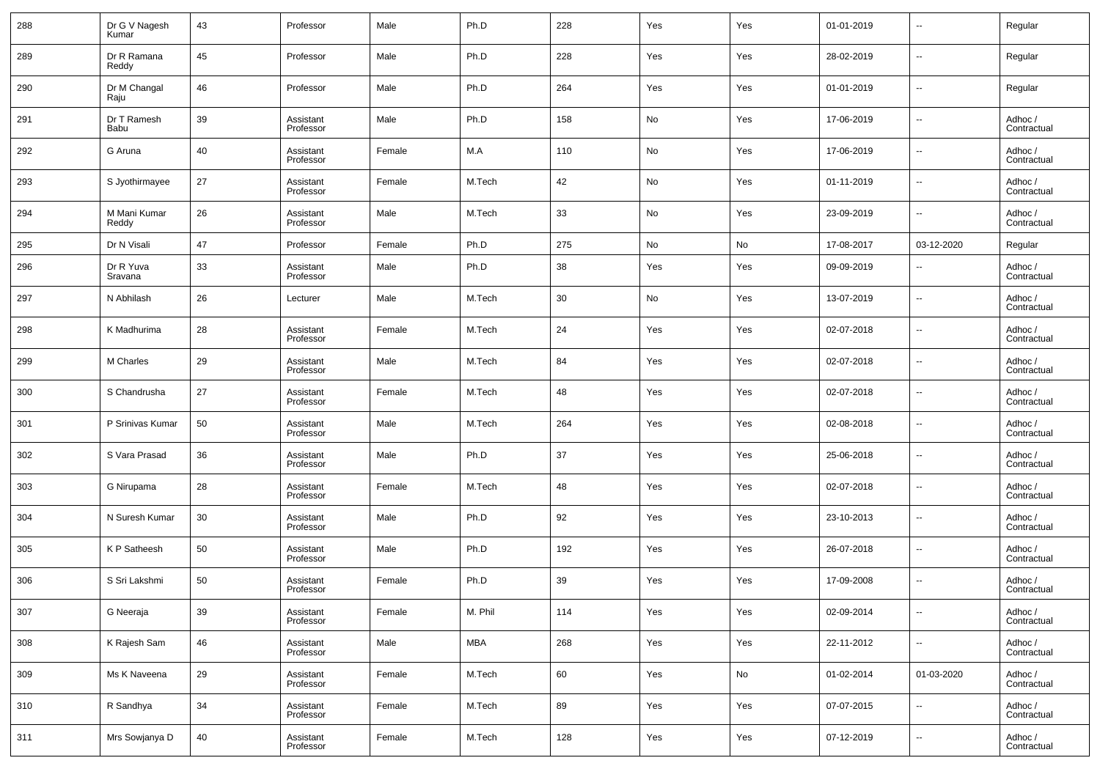| 288 | Dr G V Nagesh<br>Kumar | 43 | Professor              | Male   | Ph.D       | 228 | Yes | Yes | 01-01-2019 | $\overline{\phantom{a}}$ | Regular                |
|-----|------------------------|----|------------------------|--------|------------|-----|-----|-----|------------|--------------------------|------------------------|
| 289 | Dr R Ramana<br>Reddy   | 45 | Professor              | Male   | Ph.D       | 228 | Yes | Yes | 28-02-2019 | $\overline{\phantom{a}}$ | Regular                |
| 290 | Dr M Changal<br>Raju   | 46 | Professor              | Male   | Ph.D       | 264 | Yes | Yes | 01-01-2019 | ⊶.                       | Regular                |
| 291 | Dr T Ramesh<br>Babu    | 39 | Assistant<br>Professor | Male   | Ph.D       | 158 | No  | Yes | 17-06-2019 | $\overline{\phantom{a}}$ | Adhoc /<br>Contractual |
| 292 | G Aruna                | 40 | Assistant<br>Professor | Female | M.A        | 110 | No  | Yes | 17-06-2019 | $\overline{\phantom{a}}$ | Adhoc /<br>Contractual |
| 293 | S Jyothirmayee         | 27 | Assistant<br>Professor | Female | M.Tech     | 42  | No  | Yes | 01-11-2019 | $\overline{\phantom{a}}$ | Adhoc /<br>Contractual |
| 294 | M Mani Kumar<br>Reddy  | 26 | Assistant<br>Professor | Male   | M.Tech     | 33  | No  | Yes | 23-09-2019 | $\overline{\phantom{a}}$ | Adhoc /<br>Contractual |
| 295 | Dr N Visali            | 47 | Professor              | Female | Ph.D       | 275 | No  | No  | 17-08-2017 | 03-12-2020               | Regular                |
| 296 | Dr R Yuva<br>Sravana   | 33 | Assistant<br>Professor | Male   | Ph.D       | 38  | Yes | Yes | 09-09-2019 | $\overline{\phantom{a}}$ | Adhoc /<br>Contractual |
| 297 | N Abhilash             | 26 | Lecturer               | Male   | M.Tech     | 30  | No  | Yes | 13-07-2019 | $\overline{\phantom{a}}$ | Adhoc /<br>Contractual |
| 298 | K Madhurima            | 28 | Assistant<br>Professor | Female | M.Tech     | 24  | Yes | Yes | 02-07-2018 | $\overline{\phantom{a}}$ | Adhoc /<br>Contractual |
| 299 | M Charles              | 29 | Assistant<br>Professor | Male   | M.Tech     | 84  | Yes | Yes | 02-07-2018 | $\overline{\phantom{a}}$ | Adhoc /<br>Contractual |
| 300 | S Chandrusha           | 27 | Assistant<br>Professor | Female | M.Tech     | 48  | Yes | Yes | 02-07-2018 | $\overline{\phantom{a}}$ | Adhoc /<br>Contractual |
| 301 | P Srinivas Kumar       | 50 | Assistant<br>Professor | Male   | M.Tech     | 264 | Yes | Yes | 02-08-2018 | $\overline{\phantom{a}}$ | Adhoc /<br>Contractual |
| 302 | S Vara Prasad          | 36 | Assistant<br>Professor | Male   | Ph.D       | 37  | Yes | Yes | 25-06-2018 | $\overline{\phantom{a}}$ | Adhoc /<br>Contractual |
| 303 | G Nirupama             | 28 | Assistant<br>Professor | Female | M.Tech     | 48  | Yes | Yes | 02-07-2018 | $\overline{\phantom{a}}$ | Adhoc /<br>Contractual |
| 304 | N Suresh Kumar         | 30 | Assistant<br>Professor | Male   | Ph.D       | 92  | Yes | Yes | 23-10-2013 | $\overline{\phantom{a}}$ | Adhoc /<br>Contractual |
| 305 | K P Satheesh           | 50 | Assistant<br>Professor | Male   | Ph.D       | 192 | Yes | Yes | 26-07-2018 | $\overline{\phantom{a}}$ | Adhoc /<br>Contractual |
| 306 | S Sri Lakshmi          | 50 | Assistant<br>Professor | Female | Ph.D       | 39  | Yes | Yes | 17-09-2008 | $\overline{\phantom{a}}$ | Adhoc /<br>Contractual |
| 307 | G Neeraja              | 39 | Assistant<br>Professor | Female | M. Phil    | 114 | Yes | Yes | 02-09-2014 | $\overline{\phantom{a}}$ | Adhoc /<br>Contractual |
| 308 | K Rajesh Sam           | 46 | Assistant<br>Professor | Male   | <b>MBA</b> | 268 | Yes | Yes | 22-11-2012 | $\overline{\phantom{a}}$ | Adhoc /<br>Contractual |
| 309 | Ms K Naveena           | 29 | Assistant<br>Professor | Female | M.Tech     | 60  | Yes | No  | 01-02-2014 | 01-03-2020               | Adhoc /<br>Contractual |
| 310 | R Sandhya              | 34 | Assistant<br>Professor | Female | M.Tech     | 89  | Yes | Yes | 07-07-2015 | ۰.                       | Adhoc /<br>Contractual |
| 311 | Mrs Sowjanya D         | 40 | Assistant<br>Professor | Female | M.Tech     | 128 | Yes | Yes | 07-12-2019 | $\overline{\phantom{a}}$ | Adhoc /<br>Contractual |